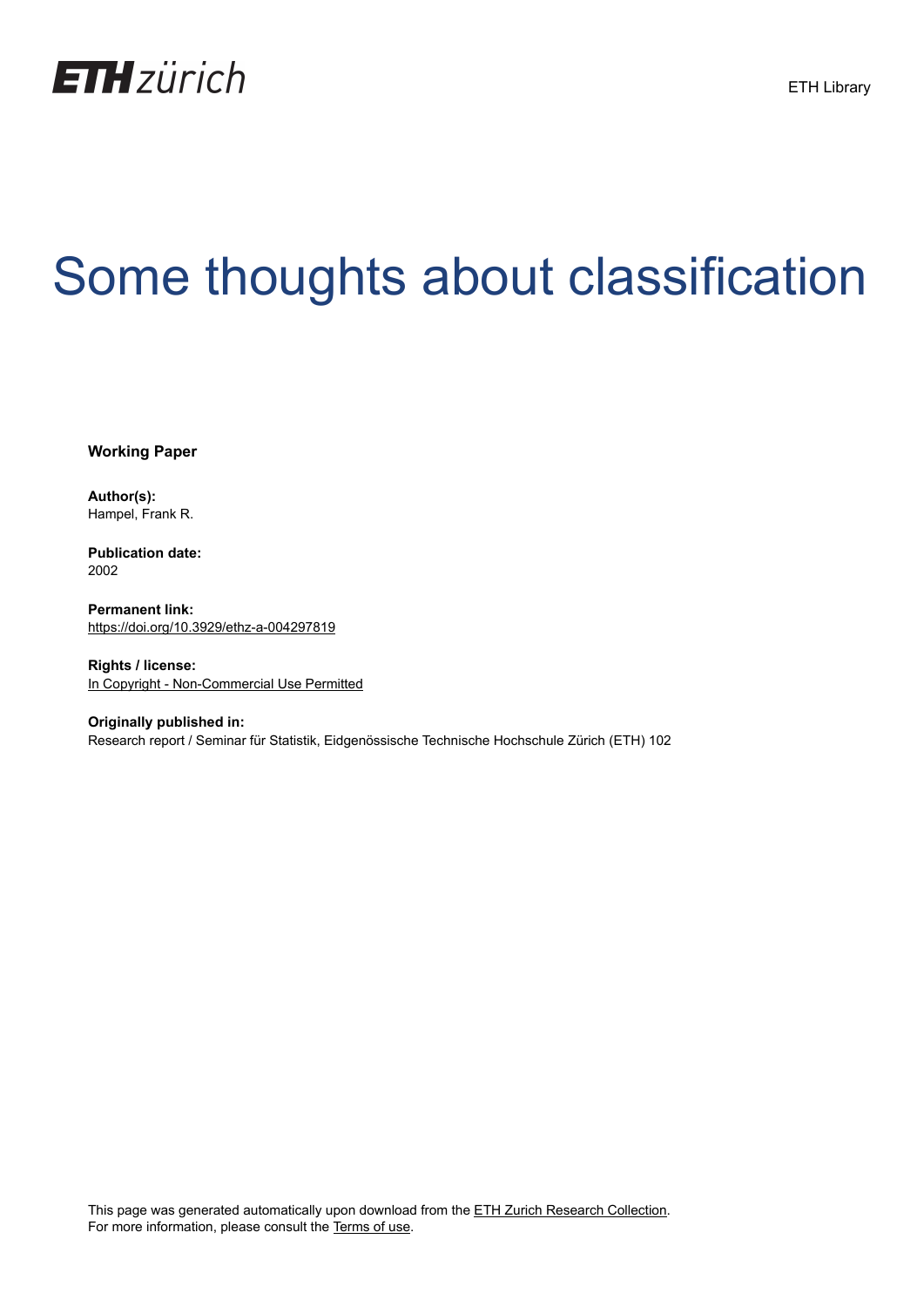

# Some thoughts about classification

**Working Paper**

**Author(s):** Hampel, Frank R.

**Publication date:** 2002

**Permanent link:** <https://doi.org/10.3929/ethz-a-004297819>

**Rights / license:** [In Copyright - Non-Commercial Use Permitted](http://rightsstatements.org/page/InC-NC/1.0/)

**Originally published in:** Research report / Seminar für Statistik, Eidgenössische Technische Hochschule Zürich (ETH) 102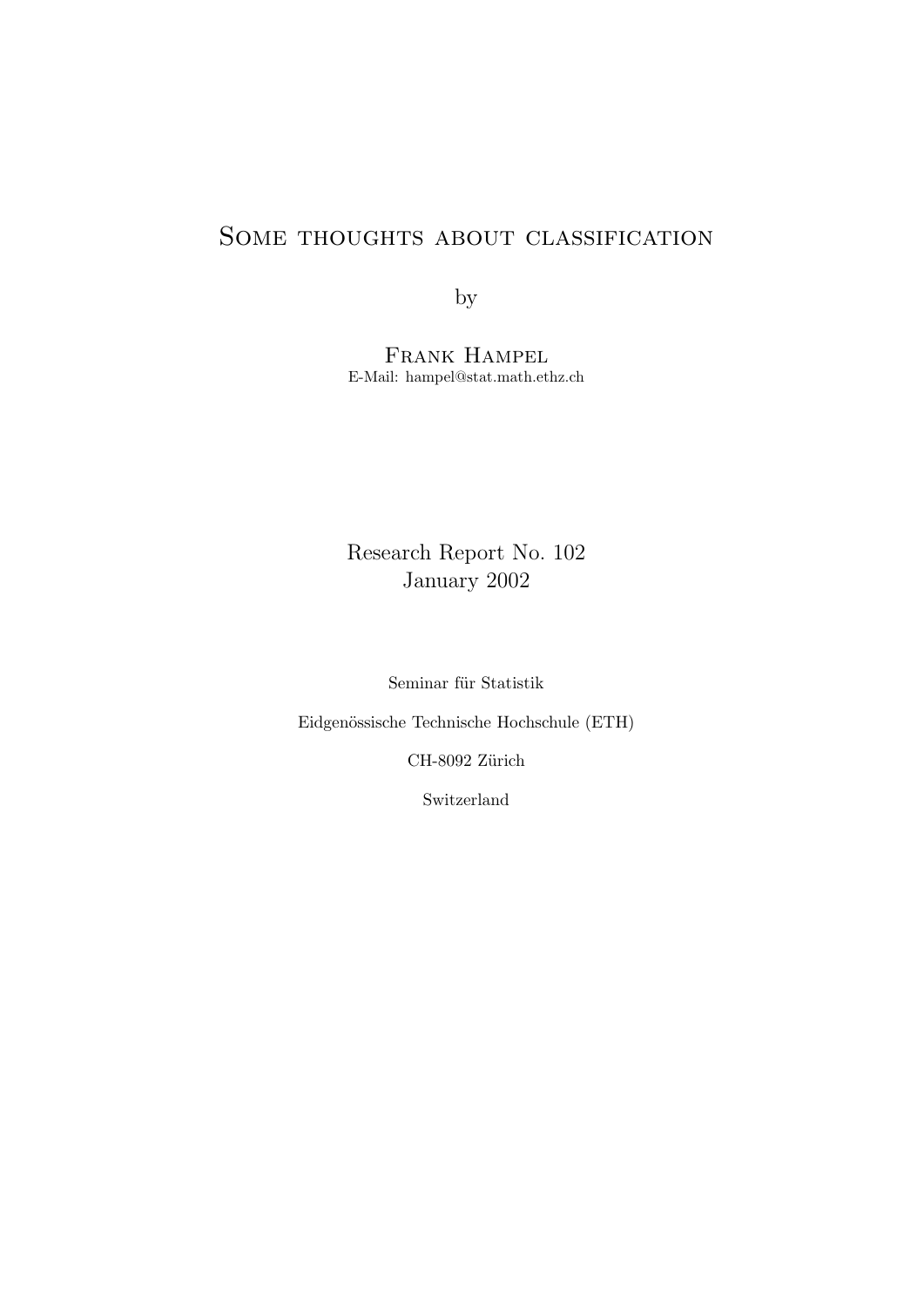# SOME THOUGHTS ABOUT CLASSIFICATION

by

FRANK HAMPEL E-Mail: hampel@stat.math.ethz.ch

Research Report No. 102 January 2002

Seminar für Statistik

Eidgenössische Technische Hochschule (ETH)

CH-8092 Zürich

Switzerland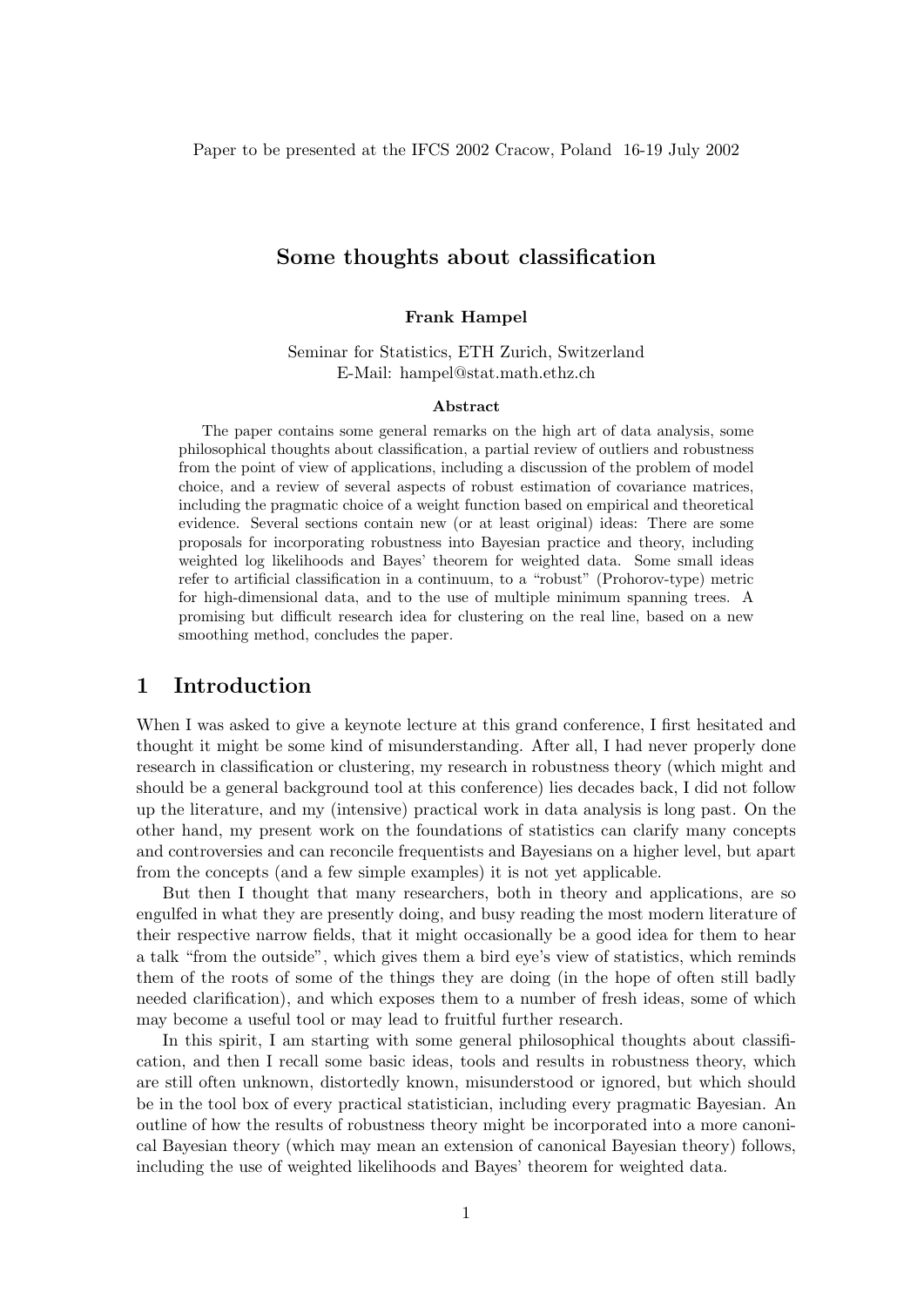# Some thoughts about classification

#### Frank Hampel

Seminar for Statistics, ETH Zurich, Switzerland E-Mail: hampel@stat.math.ethz.ch

#### Abstract

The paper contains some general remarks on the high art of data analysis, some philosophical thoughts about classification, a partial review of outliers and robustness from the point of view of applications, including a discussion of the problem of model choice, and a review of several aspects of robust estimation of covariance matrices, including the pragmatic choice of a weight function based on empirical and theoretical evidence. Several sections contain new (or at least original) ideas: There are some proposals for incorporating robustness into Bayesian practice and theory, including weighted log likelihoods and Bayes' theorem for weighted data. Some small ideas refer to artificial classification in a continuum, to a "robust" (Prohorov-type) metric for high-dimensional data, and to the use of multiple minimum spanning trees. A promising but difficult research idea for clustering on the real line, based on a new smoothing method, concludes the paper.

### 1 Introduction

When I was asked to give a keynote lecture at this grand conference, I first hesitated and thought it might be some kind of misunderstanding. After all, I had never properly done research in classification or clustering, my research in robustness theory (which might and should be a general background tool at this conference) lies decades back, I did not follow up the literature, and my (intensive) practical work in data analysis is long past. On the other hand, my present work on the foundations of statistics can clarify many concepts and controversies and can reconcile frequentists and Bayesians on a higher level, but apart from the concepts (and a few simple examples) it is not yet applicable.

But then I thought that many researchers, both in theory and applications, are so engulfed in what they are presently doing, and busy reading the most modern literature of their respective narrow fields, that it might occasionally be a good idea for them to hear a talk "from the outside", which gives them a bird eye's view of statistics, which reminds them of the roots of some of the things they are doing (in the hope of often still badly needed clarification), and which exposes them to a number of fresh ideas, some of which may become a useful tool or may lead to fruitful further research.

In this spirit, I am starting with some general philosophical thoughts about classification, and then I recall some basic ideas, tools and results in robustness theory, which are still often unknown, distortedly known, misunderstood or ignored, but which should be in the tool box of every practical statistician, including every pragmatic Bayesian. An outline of how the results of robustness theory might be incorporated into a more canonical Bayesian theory (which may mean an extension of canonical Bayesian theory) follows, including the use of weighted likelihoods and Bayes' theorem for weighted data.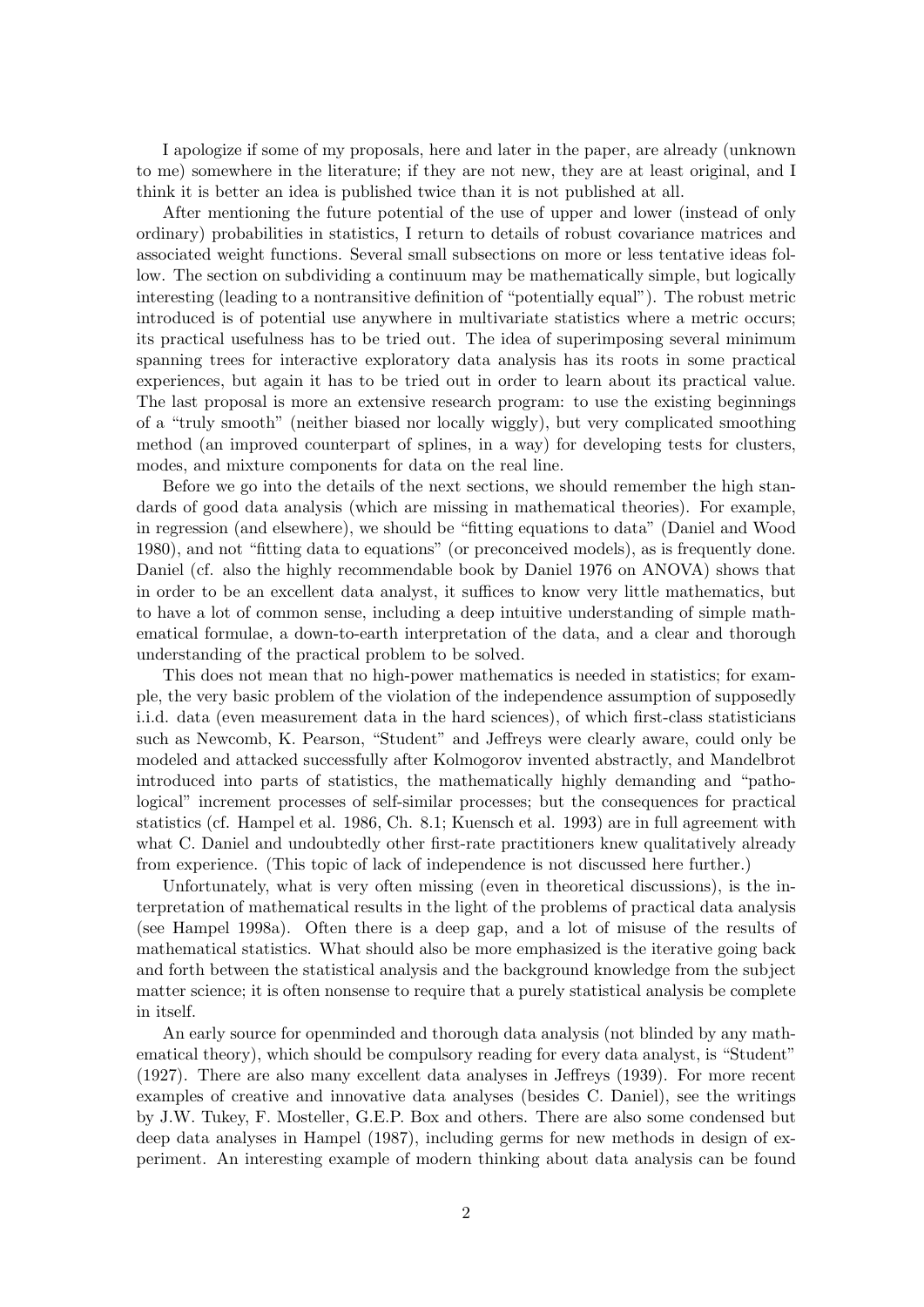I apologize if some of my proposals, here and later in the paper, are already (unknown to me) somewhere in the literature; if they are not new, they are at least original, and I think it is better an idea is published twice than it is not published at all.

After mentioning the future potential of the use of upper and lower (instead of only ordinary) probabilities in statistics, I return to details of robust covariance matrices and associated weight functions. Several small subsections on more or less tentative ideas follow. The section on subdividing a continuum may be mathematically simple, but logically interesting (leading to a nontransitive definition of "potentially equal"). The robust metric introduced is of potential use anywhere in multivariate statistics where a metric occurs; its practical usefulness has to be tried out. The idea of superimposing several minimum spanning trees for interactive exploratory data analysis has its roots in some practical experiences, but again it has to be tried out in order to learn about its practical value. The last proposal is more an extensive research program: to use the existing beginnings of a "truly smooth" (neither biased nor locally wiggly), but very complicated smoothing method (an improved counterpart of splines, in a way) for developing tests for clusters, modes, and mixture components for data on the real line.

Before we go into the details of the next sections, we should remember the high standards of good data analysis (which are missing in mathematical theories). For example, in regression (and elsewhere), we should be "fitting equations to data" (Daniel and Wood 1980), and not "fitting data to equations" (or preconceived models), as is frequently done. Daniel (cf. also the highly recommendable book by Daniel 1976 on ANOVA) shows that in order to be an excellent data analyst, it suffices to know very little mathematics, but to have a lot of common sense, including a deep intuitive understanding of simple mathematical formulae, a down-to-earth interpretation of the data, and a clear and thorough understanding of the practical problem to be solved.

This does not mean that no high-power mathematics is needed in statistics; for example, the very basic problem of the violation of the independence assumption of supposedly i.i.d. data (even measurement data in the hard sciences), of which first-class statisticians such as Newcomb, K. Pearson, "Student" and Jeffreys were clearly aware, could only be modeled and attacked successfully after Kolmogorov invented abstractly, and Mandelbrot introduced into parts of statistics, the mathematically highly demanding and "pathological" increment processes of self-similar processes; but the consequences for practical statistics (cf. Hampel et al. 1986, Ch. 8.1; Kuensch et al. 1993) are in full agreement with what C. Daniel and undoubtedly other first-rate practitioners knew qualitatively already from experience. (This topic of lack of independence is not discussed here further.)

Unfortunately, what is very often missing (even in theoretical discussions), is the interpretation of mathematical results in the light of the problems of practical data analysis (see Hampel 1998a). Often there is a deep gap, and a lot of misuse of the results of mathematical statistics. What should also be more emphasized is the iterative going back and forth between the statistical analysis and the background knowledge from the subject matter science; it is often nonsense to require that a purely statistical analysis be complete in itself.

An early source for openminded and thorough data analysis (not blinded by any mathematical theory), which should be compulsory reading for every data analyst, is "Student" (1927). There are also many excellent data analyses in Jeffreys (1939). For more recent examples of creative and innovative data analyses (besides C. Daniel), see the writings by J.W. Tukey, F. Mosteller, G.E.P. Box and others. There are also some condensed but deep data analyses in Hampel (1987), including germs for new methods in design of experiment. An interesting example of modern thinking about data analysis can be found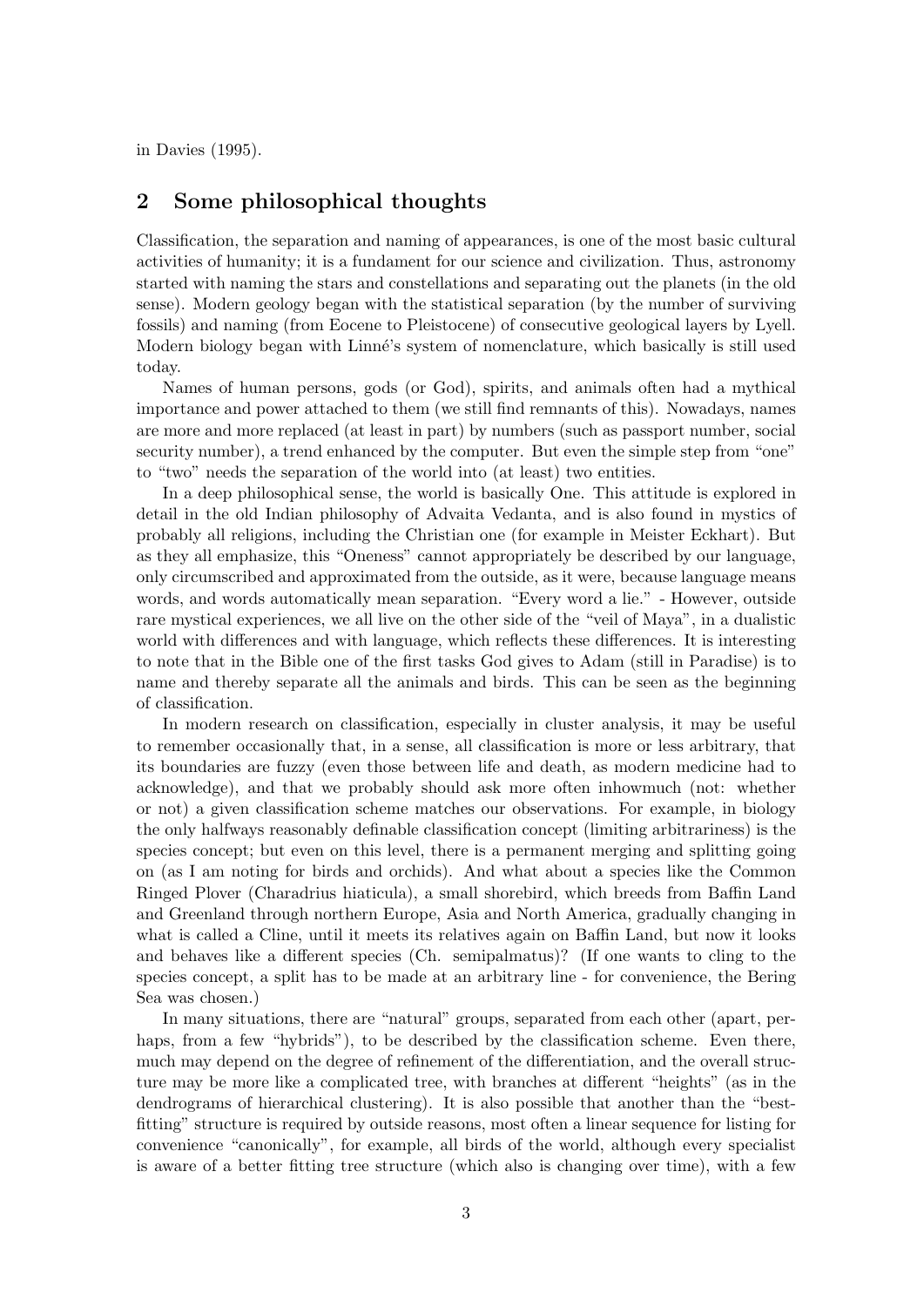in Davies (1995).

# 2 Some philosophical thoughts

Classification, the separation and naming of appearances, is one of the most basic cultural activities of humanity; it is a fundament for our science and civilization. Thus, astronomy started with naming the stars and constellations and separating out the planets (in the old sense). Modern geology began with the statistical separation (by the number of surviving fossils) and naming (from Eocene to Pleistocene) of consecutive geological layers by Lyell. Modern biology began with Linné's system of nomenclature, which basically is still used today.

Names of human persons, gods (or God), spirits, and animals often had a mythical importance and power attached to them (we still find remnants of this). Nowadays, names are more and more replaced (at least in part) by numbers (such as passport number, social security number), a trend enhanced by the computer. But even the simple step from "one" to "two" needs the separation of the world into (at least) two entities.

In a deep philosophical sense, the world is basically One. This attitude is explored in detail in the old Indian philosophy of Advaita Vedanta, and is also found in mystics of probably all religions, including the Christian one (for example in Meister Eckhart). But as they all emphasize, this "Oneness" cannot appropriately be described by our language, only circumscribed and approximated from the outside, as it were, because language means words, and words automatically mean separation. "Every word a lie." - However, outside rare mystical experiences, we all live on the other side of the "veil of Maya", in a dualistic world with differences and with language, which reflects these differences. It is interesting to note that in the Bible one of the first tasks God gives to Adam (still in Paradise) is to name and thereby separate all the animals and birds. This can be seen as the beginning of classification.

In modern research on classification, especially in cluster analysis, it may be useful to remember occasionally that, in a sense, all classification is more or less arbitrary, that its boundaries are fuzzy (even those between life and death, as modern medicine had to acknowledge), and that we probably should ask more often inhowmuch (not: whether or not) a given classification scheme matches our observations. For example, in biology the only halfways reasonably definable classification concept (limiting arbitrariness) is the species concept; but even on this level, there is a permanent merging and splitting going on (as I am noting for birds and orchids). And what about a species like the Common Ringed Plover (Charadrius hiaticula), a small shorebird, which breeds from Baffin Land and Greenland through northern Europe, Asia and North America, gradually changing in what is called a Cline, until it meets its relatives again on Baffin Land, but now it looks and behaves like a different species (Ch. semipalmatus)? (If one wants to cling to the species concept, a split has to be made at an arbitrary line - for convenience, the Bering Sea was chosen.)

In many situations, there are "natural" groups, separated from each other (apart, perhaps, from a few "hybrids"), to be described by the classification scheme. Even there, much may depend on the degree of refinement of the differentiation, and the overall structure may be more like a complicated tree, with branches at different "heights" (as in the dendrograms of hierarchical clustering). It is also possible that another than the "bestfitting" structure is required by outside reasons, most often a linear sequence for listing for convenience "canonically", for example, all birds of the world, although every specialist is aware of a better fitting tree structure (which also is changing over time), with a few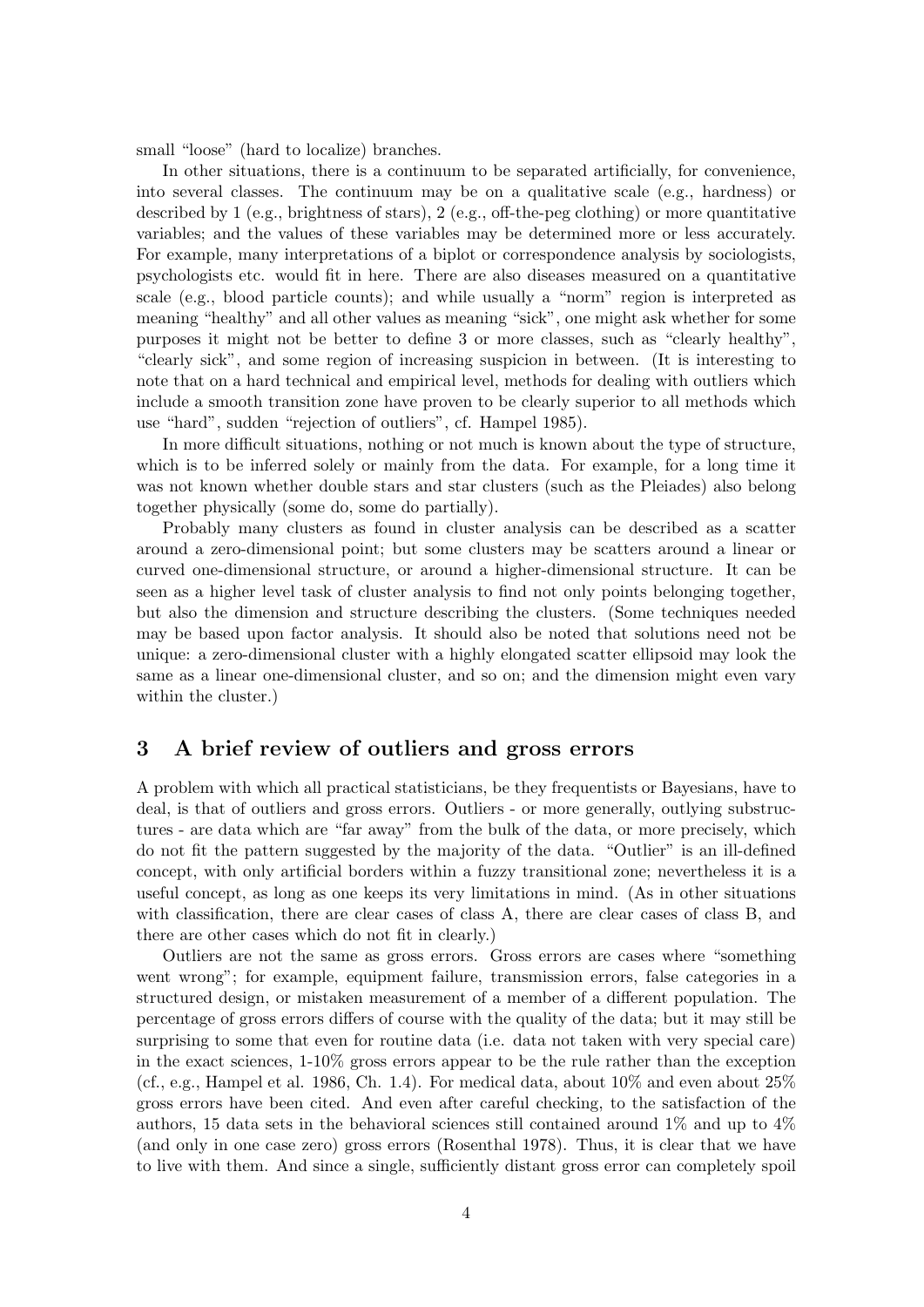small "loose" (hard to localize) branches.

In other situations, there is a continuum to be separated artificially, for convenience, into several classes. The continuum may be on a qualitative scale (e.g., hardness) or described by 1 (e.g., brightness of stars), 2 (e.g., off-the-peg clothing) or more quantitative variables; and the values of these variables may be determined more or less accurately. For example, many interpretations of a biplot or correspondence analysis by sociologists, psychologists etc. would fit in here. There are also diseases measured on a quantitative scale (e.g., blood particle counts); and while usually a "norm" region is interpreted as meaning "healthy" and all other values as meaning "sick", one might ask whether for some purposes it might not be better to define 3 or more classes, such as "clearly healthy", "clearly sick", and some region of increasing suspicion in between. (It is interesting to note that on a hard technical and empirical level, methods for dealing with outliers which include a smooth transition zone have proven to be clearly superior to all methods which use "hard", sudden "rejection of outliers", cf. Hampel 1985).

In more difficult situations, nothing or not much is known about the type of structure, which is to be inferred solely or mainly from the data. For example, for a long time it was not known whether double stars and star clusters (such as the Pleiades) also belong together physically (some do, some do partially).

Probably many clusters as found in cluster analysis can be described as a scatter around a zero-dimensional point; but some clusters may be scatters around a linear or curved one-dimensional structure, or around a higher-dimensional structure. It can be seen as a higher level task of cluster analysis to find not only points belonging together, but also the dimension and structure describing the clusters. (Some techniques needed may be based upon factor analysis. It should also be noted that solutions need not be unique: a zero-dimensional cluster with a highly elongated scatter ellipsoid may look the same as a linear one-dimensional cluster, and so on; and the dimension might even vary within the cluster.)

# 3 A brief review of outliers and gross errors

A problem with which all practical statisticians, be they frequentists or Bayesians, have to deal, is that of outliers and gross errors. Outliers - or more generally, outlying substructures - are data which are "far away" from the bulk of the data, or more precisely, which do not fit the pattern suggested by the majority of the data. "Outlier" is an ill-defined concept, with only artificial borders within a fuzzy transitional zone; nevertheless it is a useful concept, as long as one keeps its very limitations in mind. (As in other situations with classification, there are clear cases of class A, there are clear cases of class B, and there are other cases which do not fit in clearly.)

Outliers are not the same as gross errors. Gross errors are cases where "something went wrong"; for example, equipment failure, transmission errors, false categories in a structured design, or mistaken measurement of a member of a different population. The percentage of gross errors differs of course with the quality of the data; but it may still be surprising to some that even for routine data (i.e. data not taken with very special care) in the exact sciences,  $1-10\%$  gross errors appear to be the rule rather than the exception (cf., e.g., Hampel et al. 1986, Ch. 1.4). For medical data, about  $10\%$  and even about  $25\%$ gross errors have been cited. And even after careful checking, to the satisfaction of the authors, 15 data sets in the behavioral sciences still contained around 1% and up to 4% (and only in one case zero) gross errors (Rosenthal 1978). Thus, it is clear that we have to live with them. And since a single, sufficiently distant gross error can completely spoil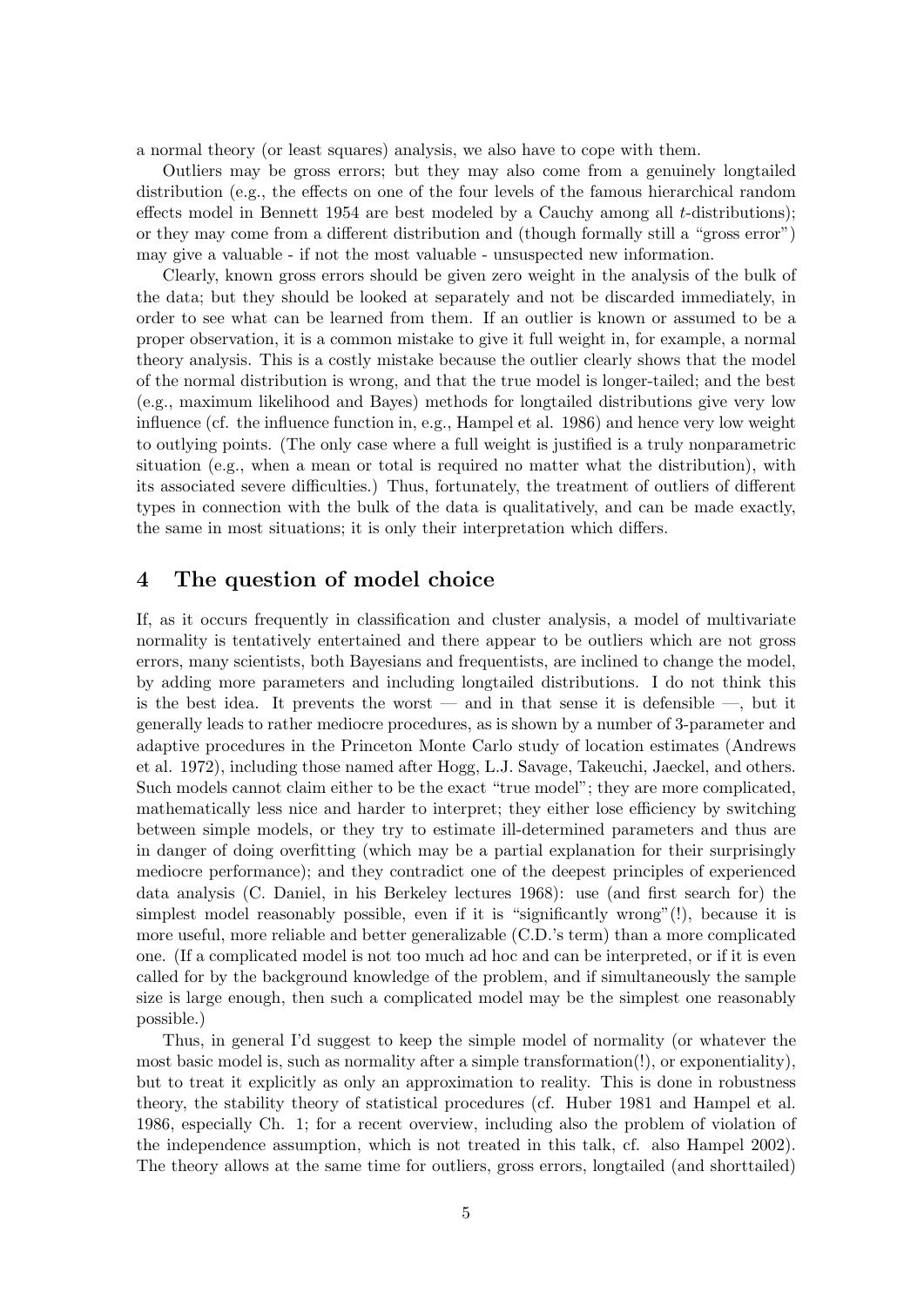a normal theory (or least squares) analysis, we also have to cope with them.

Outliers may be gross errors; but they may also come from a genuinely longtailed distribution (e.g., the effects on one of the four levels of the famous hierarchical random effects model in Bennett 1954 are best modeled by a Cauchy among all t-distributions); or they may come from a different distribution and (though formally still a "gross error") may give a valuable - if not the most valuable - unsuspected new information.

Clearly, known gross errors should be given zero weight in the analysis of the bulk of the data; but they should be looked at separately and not be discarded immediately, in order to see what can be learned from them. If an outlier is known or assumed to be a proper observation, it is a common mistake to give it full weight in, for example, a normal theory analysis. This is a costly mistake because the outlier clearly shows that the model of the normal distribution is wrong, and that the true model is longer-tailed; and the best (e.g., maximum likelihood and Bayes) methods for longtailed distributions give very low influence (cf. the influence function in, e.g., Hampel et al. 1986) and hence very low weight to outlying points. (The only case where a full weight is justified is a truly nonparametric situation (e.g., when a mean or total is required no matter what the distribution), with its associated severe difficulties.) Thus, fortunately, the treatment of outliers of different types in connection with the bulk of the data is qualitatively, and can be made exactly, the same in most situations; it is only their interpretation which differs.

# 4 The question of model choice

If, as it occurs frequently in classification and cluster analysis, a model of multivariate normality is tentatively entertained and there appear to be outliers which are not gross errors, many scientists, both Bayesians and frequentists, are inclined to change the model, by adding more parameters and including longtailed distributions. I do not think this is the best idea. It prevents the worst  $-$  and in that sense it is defensible  $-$ , but it generally leads to rather mediocre procedures, as is shown by a number of 3-parameter and adaptive procedures in the Princeton Monte Carlo study of location estimates (Andrews et al. 1972), including those named after Hogg, L.J. Savage, Takeuchi, Jaeckel, and others. Such models cannot claim either to be the exact "true model"; they are more complicated, mathematically less nice and harder to interpret; they either lose efficiency by switching between simple models, or they try to estimate ill-determined parameters and thus are in danger of doing overfitting (which may be a partial explanation for their surprisingly mediocre performance); and they contradict one of the deepest principles of experienced data analysis (C. Daniel, in his Berkeley lectures 1968): use (and first search for) the simplest model reasonably possible, even if it is "significantly wrong"(!), because it is more useful, more reliable and better generalizable (C.D.'s term) than a more complicated one. (If a complicated model is not too much ad hoc and can be interpreted, or if it is even called for by the background knowledge of the problem, and if simultaneously the sample size is large enough, then such a complicated model may be the simplest one reasonably possible.)

Thus, in general I'd suggest to keep the simple model of normality (or whatever the most basic model is, such as normality after a simple transformation(!), or exponentiality), but to treat it explicitly as only an approximation to reality. This is done in robustness theory, the stability theory of statistical procedures (cf. Huber 1981 and Hampel et al. 1986, especially Ch. 1; for a recent overview, including also the problem of violation of the independence assumption, which is not treated in this talk, cf. also Hampel 2002). The theory allows at the same time for outliers, gross errors, longtailed (and shorttailed)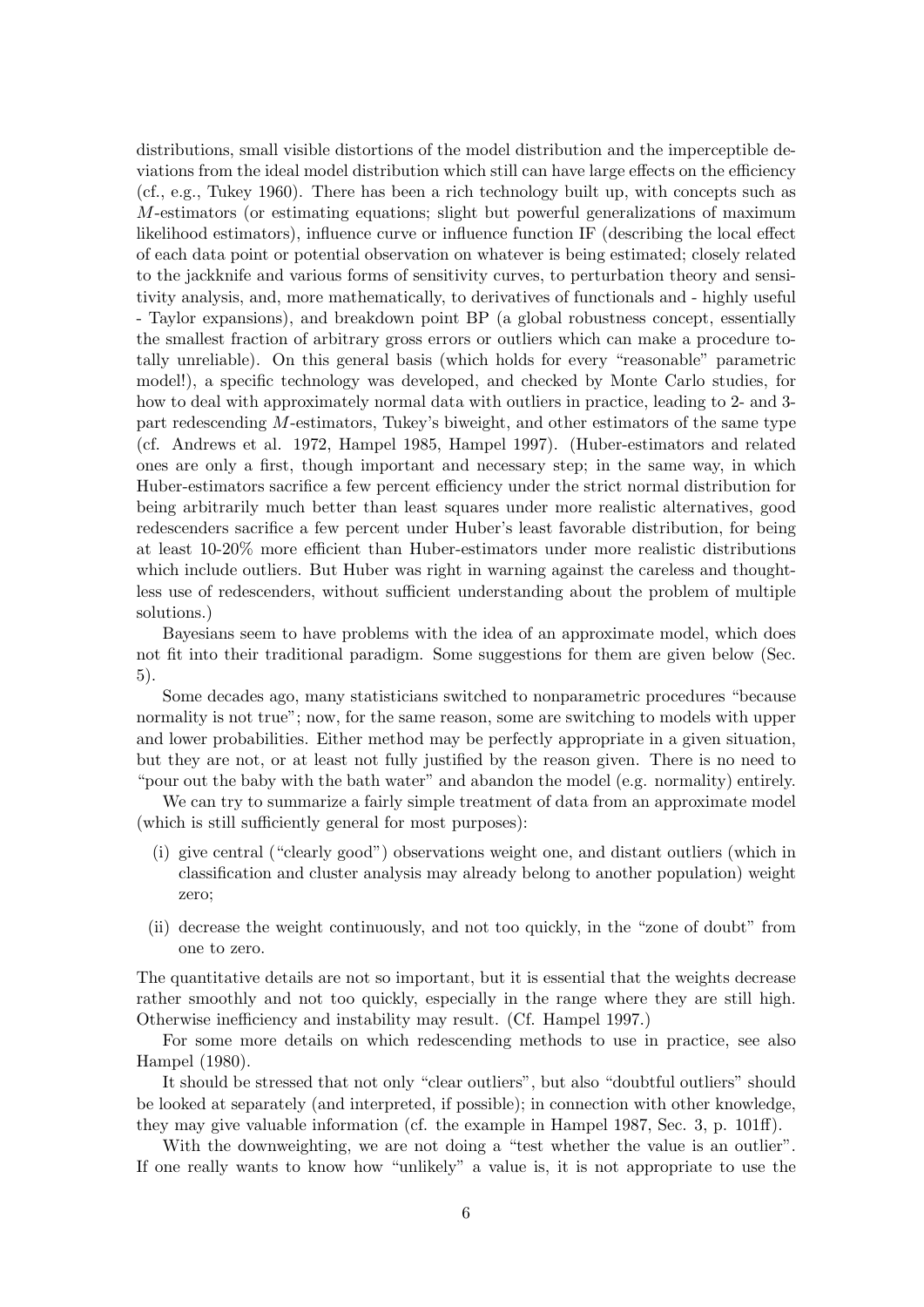distributions, small visible distortions of the model distribution and the imperceptible deviations from the ideal model distribution which still can have large effects on the efficiency (cf., e.g., Tukey 1960). There has been a rich technology built up, with concepts such as M-estimators (or estimating equations; slight but powerful generalizations of maximum likelihood estimators), influence curve or influence function IF (describing the local effect of each data point or potential observation on whatever is being estimated; closely related to the jackknife and various forms of sensitivity curves, to perturbation theory and sensitivity analysis, and, more mathematically, to derivatives of functionals and - highly useful - Taylor expansions), and breakdown point BP (a global robustness concept, essentially the smallest fraction of arbitrary gross errors or outliers which can make a procedure totally unreliable). On this general basis (which holds for every "reasonable" parametric model!), a specific technology was developed, and checked by Monte Carlo studies, for how to deal with approximately normal data with outliers in practice, leading to 2- and 3 part redescending M-estimators, Tukey's biweight, and other estimators of the same type (cf. Andrews et al. 1972, Hampel 1985, Hampel 1997). (Huber-estimators and related ones are only a first, though important and necessary step; in the same way, in which Huber-estimators sacrifice a few percent efficiency under the strict normal distribution for being arbitrarily much better than least squares under more realistic alternatives, good redescenders sacrifice a few percent under Huber's least favorable distribution, for being at least 10-20% more efficient than Huber-estimators under more realistic distributions which include outliers. But Huber was right in warning against the careless and thoughtless use of redescenders, without sufficient understanding about the problem of multiple solutions.)

Bayesians seem to have problems with the idea of an approximate model, which does not fit into their traditional paradigm. Some suggestions for them are given below (Sec. 5).

Some decades ago, many statisticians switched to nonparametric procedures "because normality is not true"; now, for the same reason, some are switching to models with upper and lower probabilities. Either method may be perfectly appropriate in a given situation, but they are not, or at least not fully justified by the reason given. There is no need to "pour out the baby with the bath water" and abandon the model (e.g. normality) entirely.

We can try to summarize a fairly simple treatment of data from an approximate model (which is still sufficiently general for most purposes):

- (i) give central ("clearly good") observations weight one, and distant outliers (which in classification and cluster analysis may already belong to another population) weight zero;
- (ii) decrease the weight continuously, and not too quickly, in the "zone of doubt" from one to zero.

The quantitative details are not so important, but it is essential that the weights decrease rather smoothly and not too quickly, especially in the range where they are still high. Otherwise inefficiency and instability may result. (Cf. Hampel 1997.)

For some more details on which redescending methods to use in practice, see also Hampel (1980).

It should be stressed that not only "clear outliers", but also "doubtful outliers" should be looked at separately (and interpreted, if possible); in connection with other knowledge, they may give valuable information (cf. the example in Hampel 1987, Sec. 3, p. 101ff).

With the downweighting, we are not doing a "test whether the value is an outlier". If one really wants to know how "unlikely" a value is, it is not appropriate to use the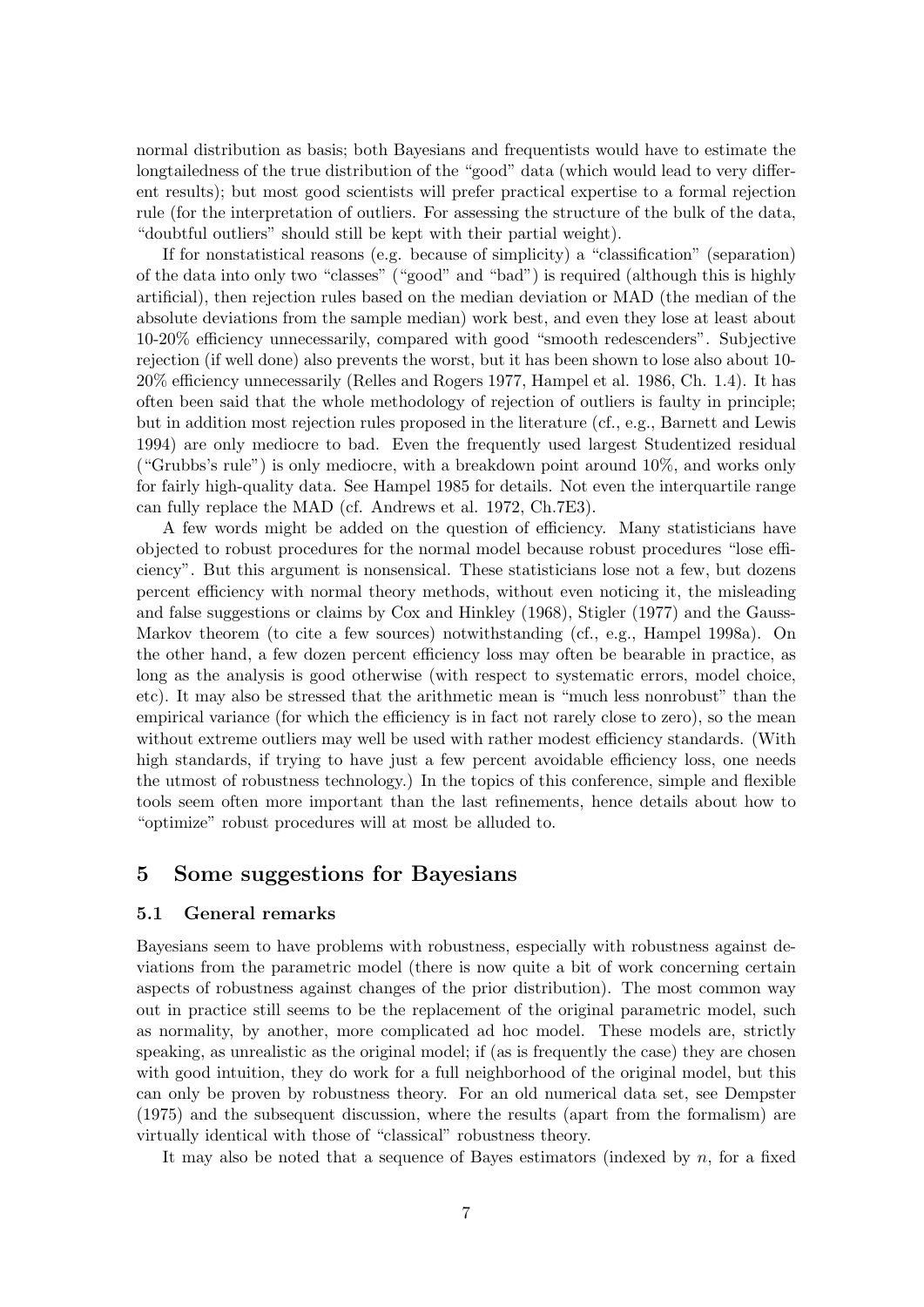normal distribution as basis; both Bayesians and frequentists would have to estimate the longtailedness of the true distribution of the "good" data (which would lead to very different results); but most good scientists will prefer practical expertise to a formal rejection rule (for the interpretation of outliers. For assessing the structure of the bulk of the data, "doubtful outliers" should still be kept with their partial weight).

If for nonstatistical reasons (e.g. because of simplicity) a "classification" (separation) of the data into only two "classes" ("good" and "bad") is required (although this is highly artificial), then rejection rules based on the median deviation or MAD (the median of the absolute deviations from the sample median) work best, and even they lose at least about 10-20% efficiency unnecessarily, compared with good "smooth redescenders". Subjective rejection (if well done) also prevents the worst, but it has been shown to lose also about 10- 20% efficiency unnecessarily (Relles and Rogers 1977, Hampel et al. 1986, Ch. 1.4). It has often been said that the whole methodology of rejection of outliers is faulty in principle; but in addition most rejection rules proposed in the literature (cf., e.g., Barnett and Lewis 1994) are only mediocre to bad. Even the frequently used largest Studentized residual ("Grubbs's rule") is only mediocre, with a breakdown point around 10%, and works only for fairly high-quality data. See Hampel 1985 for details. Not even the interquartile range can fully replace the MAD (cf. Andrews et al. 1972, Ch.7E3).

A few words might be added on the question of efficiency. Many statisticians have objected to robust procedures for the normal model because robust procedures "lose efficiency". But this argument is nonsensical. These statisticians lose not a few, but dozens percent efficiency with normal theory methods, without even noticing it, the misleading and false suggestions or claims by Cox and Hinkley (1968), Stigler (1977) and the Gauss-Markov theorem (to cite a few sources) notwithstanding (cf., e.g., Hampel 1998a). On the other hand, a few dozen percent efficiency loss may often be bearable in practice, as long as the analysis is good otherwise (with respect to systematic errors, model choice, etc). It may also be stressed that the arithmetic mean is "much less nonrobust" than the empirical variance (for which the efficiency is in fact not rarely close to zero), so the mean without extreme outliers may well be used with rather modest efficiency standards. (With high standards, if trying to have just a few percent avoidable efficiency loss, one needs the utmost of robustness technology.) In the topics of this conference, simple and flexible tools seem often more important than the last refinements, hence details about how to "optimize" robust procedures will at most be alluded to.

# 5 Some suggestions for Bayesians

#### 5.1 General remarks

Bayesians seem to have problems with robustness, especially with robustness against deviations from the parametric model (there is now quite a bit of work concerning certain aspects of robustness against changes of the prior distribution). The most common way out in practice still seems to be the replacement of the original parametric model, such as normality, by another, more complicated ad hoc model. These models are, strictly speaking, as unrealistic as the original model; if (as is frequently the case) they are chosen with good intuition, they do work for a full neighborhood of the original model, but this can only be proven by robustness theory. For an old numerical data set, see Dempster (1975) and the subsequent discussion, where the results (apart from the formalism) are virtually identical with those of "classical" robustness theory.

It may also be noted that a sequence of Bayes estimators (indexed by  $n$ , for a fixed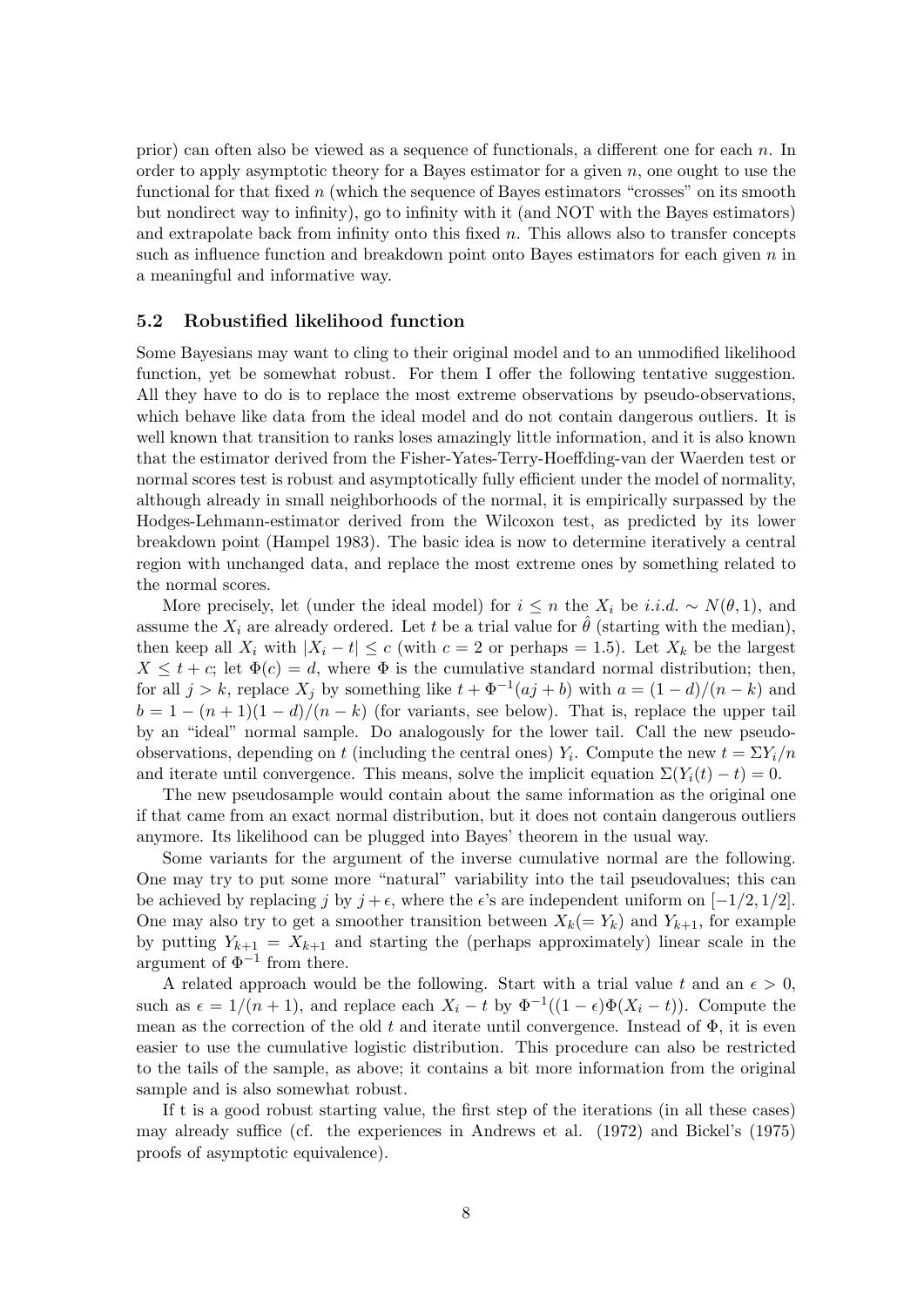prior) can often also be viewed as a sequence of functionals, a different one for each n. In order to apply asymptotic theory for a Bayes estimator for a given  $n$ , one ought to use the functional for that fixed  $n$  (which the sequence of Bayes estimators "crosses" on its smooth but nondirect way to infinity), go to infinity with it (and NOT with the Bayes estimators) and extrapolate back from infinity onto this fixed  $n$ . This allows also to transfer concepts such as influence function and breakdown point onto Bayes estimators for each given  $n$  in a meaningful and informative way.

#### 5.2 Robustified likelihood function

Some Bayesians may want to cling to their original model and to an unmodified likelihood function, yet be somewhat robust. For them I offer the following tentative suggestion. All they have to do is to replace the most extreme observations by pseudo-observations, which behave like data from the ideal model and do not contain dangerous outliers. It is well known that transition to ranks loses amazingly little information, and it is also known that the estimator derived from the Fisher-Yates-Terry-Hoeffding-van der Waerden test or normal scores test is robust and asymptotically fully efficient under the model of normality, although already in small neighborhoods of the normal, it is empirically surpassed by the Hodges-Lehmann-estimator derived from the Wilcoxon test, as predicted by its lower breakdown point (Hampel 1983). The basic idea is now to determine iteratively a central region with unchanged data, and replace the most extreme ones by something related to the normal scores.

More precisely, let (under the ideal model) for  $i \leq n$  the  $X_i$  be i.i.d. ~  $N(\theta, 1)$ , and assume the  $X_i$  are already ordered. Let t be a trial value for  $\hat{\theta}$  (starting with the median), then keep all  $X_i$  with  $|X_i - t| \leq c$  (with  $c = 2$  or perhaps = 1.5). Let  $X_k$  be the largest  $X \leq t + c$ ; let  $\Phi(c) = d$ , where  $\Phi$  is the cumulative standard normal distribution; then, for all  $j > k$ , replace  $X_j$  by something like  $t + \Phi^{-1}(aj + b)$  with  $a = (1 - d)/(n - k)$  and  $b = 1 - (n + 1)(1 - d)/(n - k)$  (for variants, see below). That is, replace the upper tail by an "ideal" normal sample. Do analogously for the lower tail. Call the new pseudoobservations, depending on t (including the central ones)  $Y_i$ . Compute the new  $t = \Sigma Y_i/n$ and iterate until convergence. This means, solve the implicit equation  $\Sigma(Y_i(t) - t) = 0$ .

The new pseudosample would contain about the same information as the original one if that came from an exact normal distribution, but it does not contain dangerous outliers anymore. Its likelihood can be plugged into Bayes' theorem in the usual way.

Some variants for the argument of the inverse cumulative normal are the following. One may try to put some more "natural" variability into the tail pseudovalues; this can be achieved by replacing j by  $j + \epsilon$ , where the  $\epsilon$ 's are independent uniform on  $[-1/2, 1/2]$ . One may also try to get a smoother transition between  $X_k (= Y_k)$  and  $Y_{k+1}$ , for example by putting  $Y_{k+1} = X_{k+1}$  and starting the (perhaps approximately) linear scale in the argument of  $\Phi^{-1}$  from there.

A related approach would be the following. Start with a trial value t and an  $\epsilon > 0$ , such as  $\epsilon = 1/(n+1)$ , and replace each  $X_i - t$  by  $\Phi^{-1}((1 - \epsilon)\Phi(X_i - t))$ . Compute the mean as the correction of the old t and iterate until convergence. Instead of  $\Phi$ , it is even easier to use the cumulative logistic distribution. This procedure can also be restricted to the tails of the sample, as above; it contains a bit more information from the original sample and is also somewhat robust.

If t is a good robust starting value, the first step of the iterations (in all these cases) may already suffice (cf. the experiences in Andrews et al. (1972) and Bickel's (1975) proofs of asymptotic equivalence).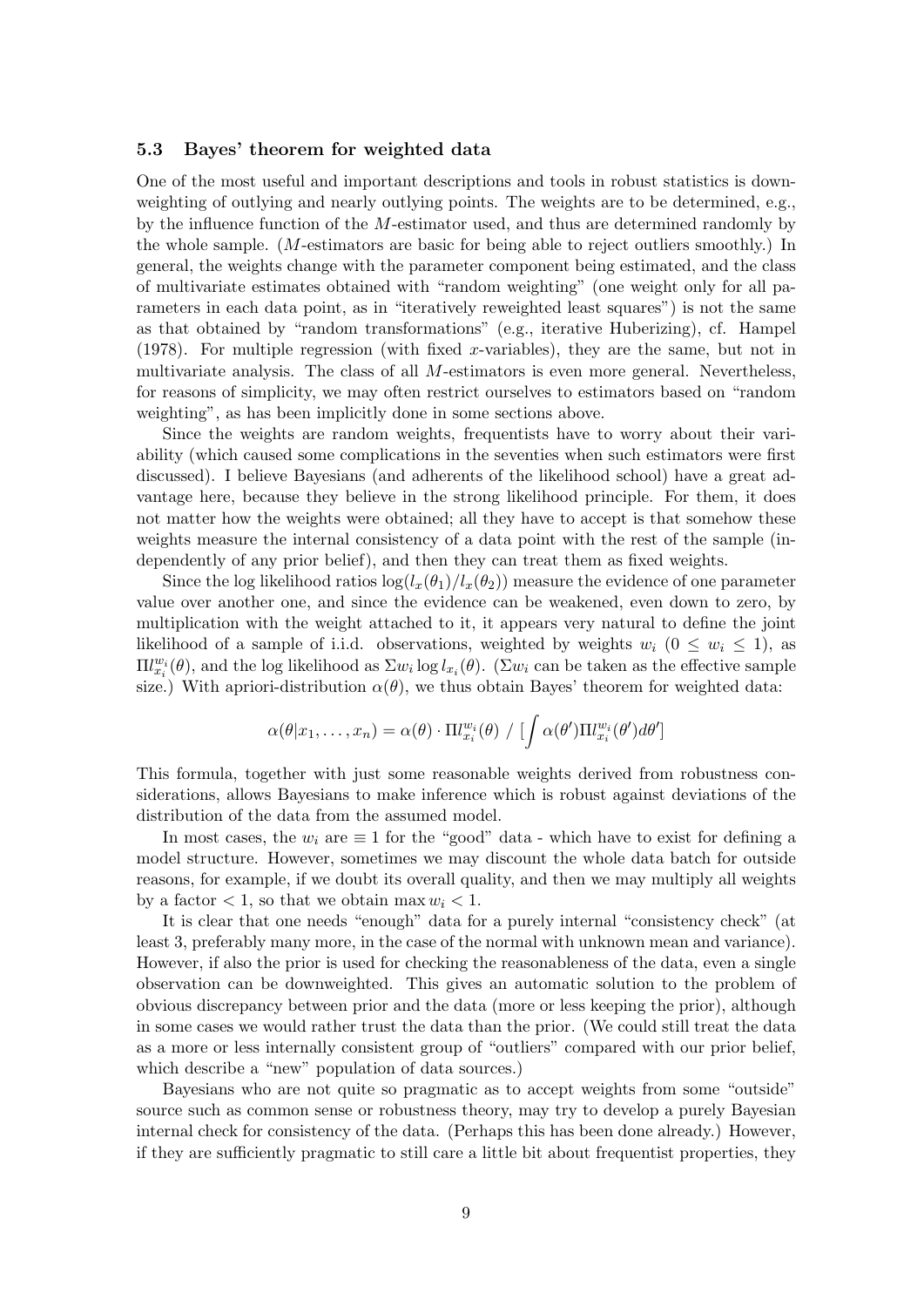#### 5.3 Bayes' theorem for weighted data

One of the most useful and important descriptions and tools in robust statistics is downweighting of outlying and nearly outlying points. The weights are to be determined, e.g., by the influence function of the  $M$ -estimator used, and thus are determined randomly by the whole sample. (M-estimators are basic for being able to reject outliers smoothly.) In general, the weights change with the parameter component being estimated, and the class of multivariate estimates obtained with "random weighting" (one weight only for all parameters in each data point, as in "iteratively reweighted least squares") is not the same as that obtained by "random transformations" (e.g., iterative Huberizing), cf. Hampel (1978). For multiple regression (with fixed x-variables), they are the same, but not in multivariate analysis. The class of all M-estimators is even more general. Nevertheless, for reasons of simplicity, we may often restrict ourselves to estimators based on "random weighting", as has been implicitly done in some sections above.

Since the weights are random weights, frequentists have to worry about their variability (which caused some complications in the seventies when such estimators were first discussed). I believe Bayesians (and adherents of the likelihood school) have a great advantage here, because they believe in the strong likelihood principle. For them, it does not matter how the weights were obtained; all they have to accept is that somehow these weights measure the internal consistency of a data point with the rest of the sample (independently of any prior belief), and then they can treat them as fixed weights.

Since the log likelihood ratios  $\log(l_x(\theta_1)/l_x(\theta_2))$  measure the evidence of one parameter value over another one, and since the evidence can be weakened, even down to zero, by multiplication with the weight attached to it, it appears very natural to define the joint likelihood of a sample of i.i.d. observations, weighted by weights  $w_i$  ( $0 \leq w_i \leq 1$ ), as  $\Pi_{x_i}^{w_i}(\theta)$ , and the log likelihood as  $\Sigma w_i \log l_{x_i}(\theta)$ . ( $\Sigma w_i$  can be taken as the effective sample size.) With apriori-distribution  $\alpha(\theta)$ , we thus obtain Bayes' theorem for weighted data:

$$
\alpha(\theta|x_1,\ldots,x_n)=\alpha(\theta)\cdot \Pi^{w_i}_{x_i}(\theta) / [\int \alpha(\theta') \Pi^{w_i}_{x_i}(\theta') d\theta']
$$

This formula, together with just some reasonable weights derived from robustness considerations, allows Bayesians to make inference which is robust against deviations of the distribution of the data from the assumed model.

In most cases, the  $w_i$  are  $\equiv 1$  for the "good" data - which have to exist for defining a model structure. However, sometimes we may discount the whole data batch for outside reasons, for example, if we doubt its overall quality, and then we may multiply all weights by a factor  $< 1$ , so that we obtain max  $w_i < 1$ .

It is clear that one needs "enough" data for a purely internal "consistency check" (at least 3, preferably many more, in the case of the normal with unknown mean and variance). However, if also the prior is used for checking the reasonableness of the data, even a single observation can be downweighted. This gives an automatic solution to the problem of obvious discrepancy between prior and the data (more or less keeping the prior), although in some cases we would rather trust the data than the prior. (We could still treat the data as a more or less internally consistent group of "outliers" compared with our prior belief, which describe a "new" population of data sources.)

Bayesians who are not quite so pragmatic as to accept weights from some "outside" source such as common sense or robustness theory, may try to develop a purely Bayesian internal check for consistency of the data. (Perhaps this has been done already.) However, if they are sufficiently pragmatic to still care a little bit about frequentist properties, they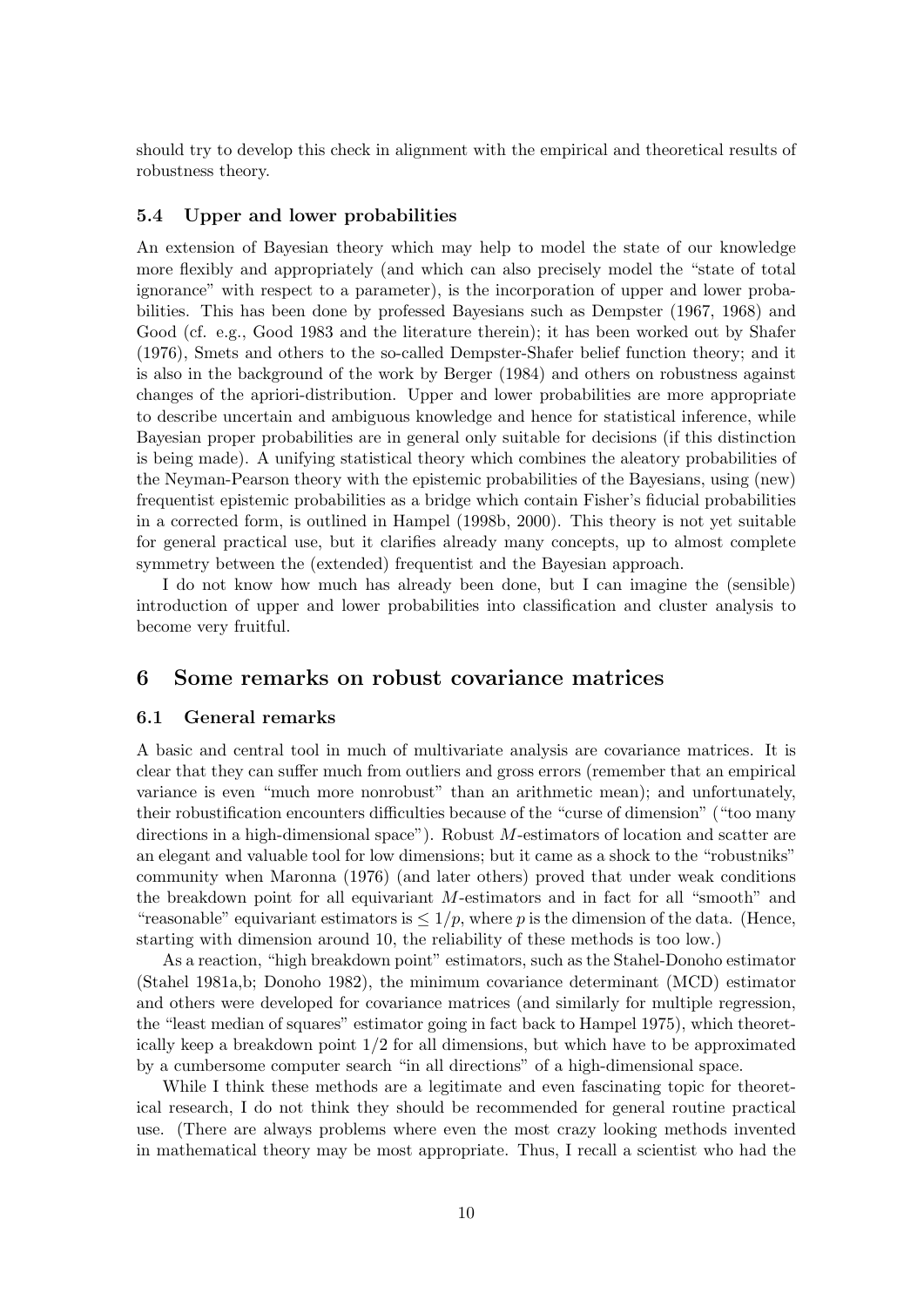should try to develop this check in alignment with the empirical and theoretical results of robustness theory.

#### 5.4 Upper and lower probabilities

An extension of Bayesian theory which may help to model the state of our knowledge more flexibly and appropriately (and which can also precisely model the "state of total ignorance" with respect to a parameter), is the incorporation of upper and lower probabilities. This has been done by professed Bayesians such as Dempster (1967, 1968) and Good (cf. e.g., Good 1983 and the literature therein); it has been worked out by Shafer (1976), Smets and others to the so-called Dempster-Shafer belief function theory; and it is also in the background of the work by Berger (1984) and others on robustness against changes of the apriori-distribution. Upper and lower probabilities are more appropriate to describe uncertain and ambiguous knowledge and hence for statistical inference, while Bayesian proper probabilities are in general only suitable for decisions (if this distinction is being made). A unifying statistical theory which combines the aleatory probabilities of the Neyman-Pearson theory with the epistemic probabilities of the Bayesians, using (new) frequentist epistemic probabilities as a bridge which contain Fisher's fiducial probabilities in a corrected form, is outlined in Hampel (1998b, 2000). This theory is not yet suitable for general practical use, but it clarifies already many concepts, up to almost complete symmetry between the (extended) frequentist and the Bayesian approach.

I do not know how much has already been done, but I can imagine the (sensible) introduction of upper and lower probabilities into classification and cluster analysis to become very fruitful.

# 6 Some remarks on robust covariance matrices

#### 6.1 General remarks

A basic and central tool in much of multivariate analysis are covariance matrices. It is clear that they can suffer much from outliers and gross errors (remember that an empirical variance is even "much more nonrobust" than an arithmetic mean); and unfortunately, their robustification encounters difficulties because of the "curse of dimension" ("too many directions in a high-dimensional space"). Robust M-estimators of location and scatter are an elegant and valuable tool for low dimensions; but it came as a shock to the "robustniks" community when Maronna (1976) (and later others) proved that under weak conditions the breakdown point for all equivariant M-estimators and in fact for all "smooth" and "reasonable" equivariant estimators is  $\leq 1/p$ , where p is the dimension of the data. (Hence, starting with dimension around 10, the reliability of these methods is too low.)

As a reaction, "high breakdown point" estimators, such as the Stahel-Donoho estimator (Stahel 1981a,b; Donoho 1982), the minimum covariance determinant (MCD) estimator and others were developed for covariance matrices (and similarly for multiple regression, the "least median of squares" estimator going in fact back to Hampel 1975), which theoretically keep a breakdown point 1/2 for all dimensions, but which have to be approximated by a cumbersome computer search "in all directions" of a high-dimensional space.

While I think these methods are a legitimate and even fascinating topic for theoretical research, I do not think they should be recommended for general routine practical use. (There are always problems where even the most crazy looking methods invented in mathematical theory may be most appropriate. Thus, I recall a scientist who had the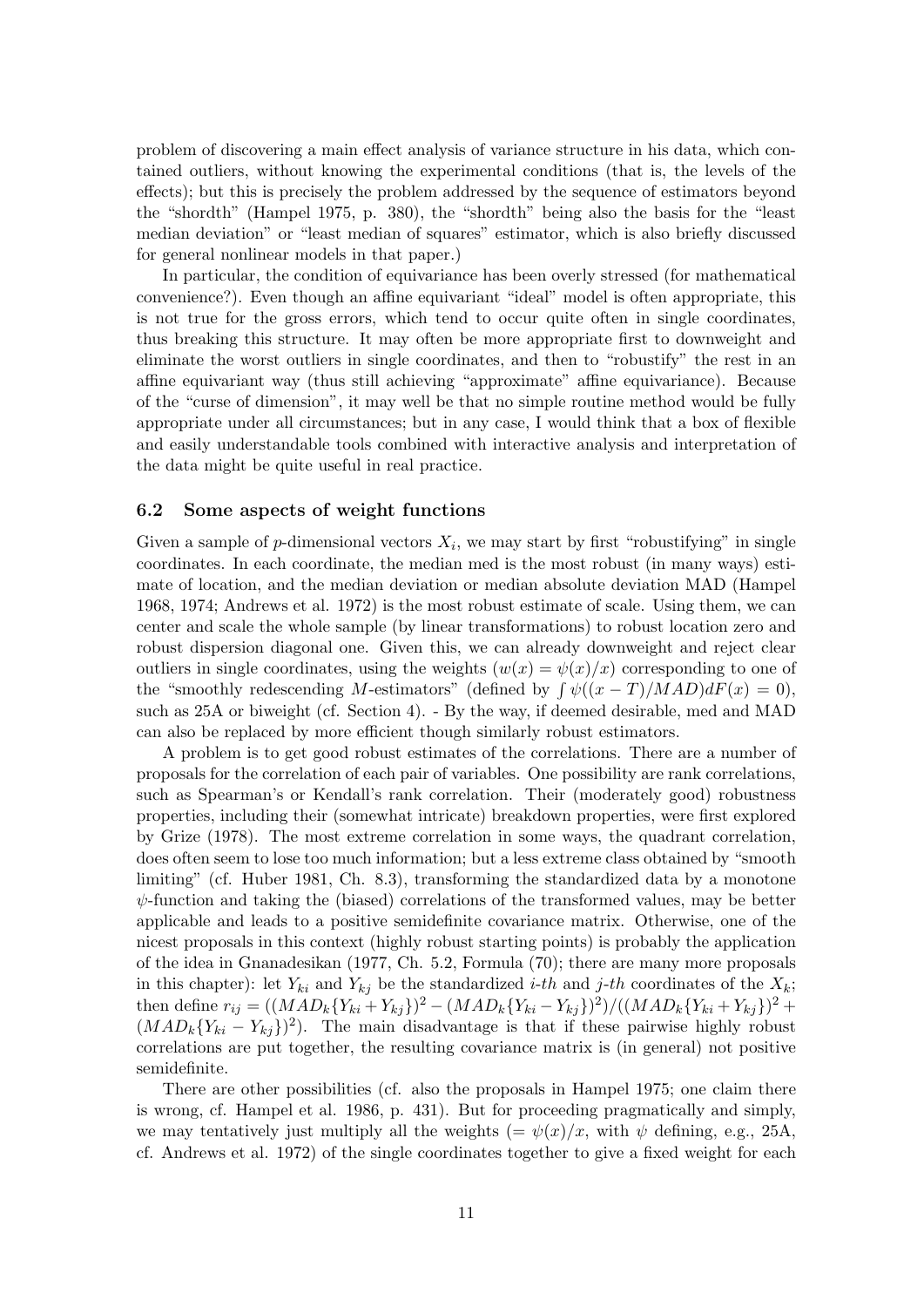problem of discovering a main effect analysis of variance structure in his data, which contained outliers, without knowing the experimental conditions (that is, the levels of the effects); but this is precisely the problem addressed by the sequence of estimators beyond the "shordth" (Hampel 1975, p. 380), the "shordth" being also the basis for the "least median deviation" or "least median of squares" estimator, which is also briefly discussed for general nonlinear models in that paper.)

In particular, the condition of equivariance has been overly stressed (for mathematical convenience?). Even though an affine equivariant "ideal" model is often appropriate, this is not true for the gross errors, which tend to occur quite often in single coordinates, thus breaking this structure. It may often be more appropriate first to downweight and eliminate the worst outliers in single coordinates, and then to "robustify" the rest in an affine equivariant way (thus still achieving "approximate" affine equivariance). Because of the "curse of dimension", it may well be that no simple routine method would be fully appropriate under all circumstances; but in any case, I would think that a box of flexible and easily understandable tools combined with interactive analysis and interpretation of the data might be quite useful in real practice.

#### 6.2 Some aspects of weight functions

Given a sample of p-dimensional vectors  $X_i$ , we may start by first "robustifying" in single coordinates. In each coordinate, the median med is the most robust (in many ways) estimate of location, and the median deviation or median absolute deviation MAD (Hampel 1968, 1974; Andrews et al. 1972) is the most robust estimate of scale. Using them, we can center and scale the whole sample (by linear transformations) to robust location zero and robust dispersion diagonal one. Given this, we can already downweight and reject clear outliers in single coordinates, using the weights  $(w(x) = \psi(x)/x)$  corresponding to one of the "smoothly redescending M-estimators" (defined by  $\int \psi((x-T)/MAD)dF(x) = 0$ ), such as 25A or biweight (cf. Section 4). - By the way, if deemed desirable, med and MAD can also be replaced by more efficient though similarly robust estimators.

A problem is to get good robust estimates of the correlations. There are a number of proposals for the correlation of each pair of variables. One possibility are rank correlations, such as Spearman's or Kendall's rank correlation. Their (moderately good) robustness properties, including their (somewhat intricate) breakdown properties, were first explored by Grize (1978). The most extreme correlation in some ways, the quadrant correlation, does often seem to lose too much information; but a less extreme class obtained by "smooth limiting" (cf. Huber 1981, Ch. 8.3), transforming the standardized data by a monotone  $\psi$ -function and taking the (biased) correlations of the transformed values, may be better applicable and leads to a positive semidefinite covariance matrix. Otherwise, one of the nicest proposals in this context (highly robust starting points) is probably the application of the idea in Gnanadesikan (1977, Ch. 5.2, Formula (70); there are many more proposals in this chapter): let  $Y_{ki}$  and  $Y_{kj}$  be the standardized *i-th* and *j-th* coordinates of the  $X_k$ ; then define  $r_{ij} = ((MAD_k\{Y_{ki} + Y_{kj}\})^2 - (MAD_k\{Y_{ki} - Y_{kj}\})^2) / ((MAD_k\{Y_{ki} + Y_{kj}\})^2 +$  $(MAD_k{Y_{ki} - Y_{kj}})^2$ . The main disadvantage is that if these pairwise highly robust correlations are put together, the resulting covariance matrix is (in general) not positive semidefinite.

There are other possibilities (cf. also the proposals in Hampel 1975; one claim there is wrong, cf. Hampel et al. 1986, p. 431). But for proceeding pragmatically and simply, we may tentatively just multiply all the weights  $(=\psi(x)/x$ , with  $\psi$  defining, e.g., 25A, cf. Andrews et al. 1972) of the single coordinates together to give a fixed weight for each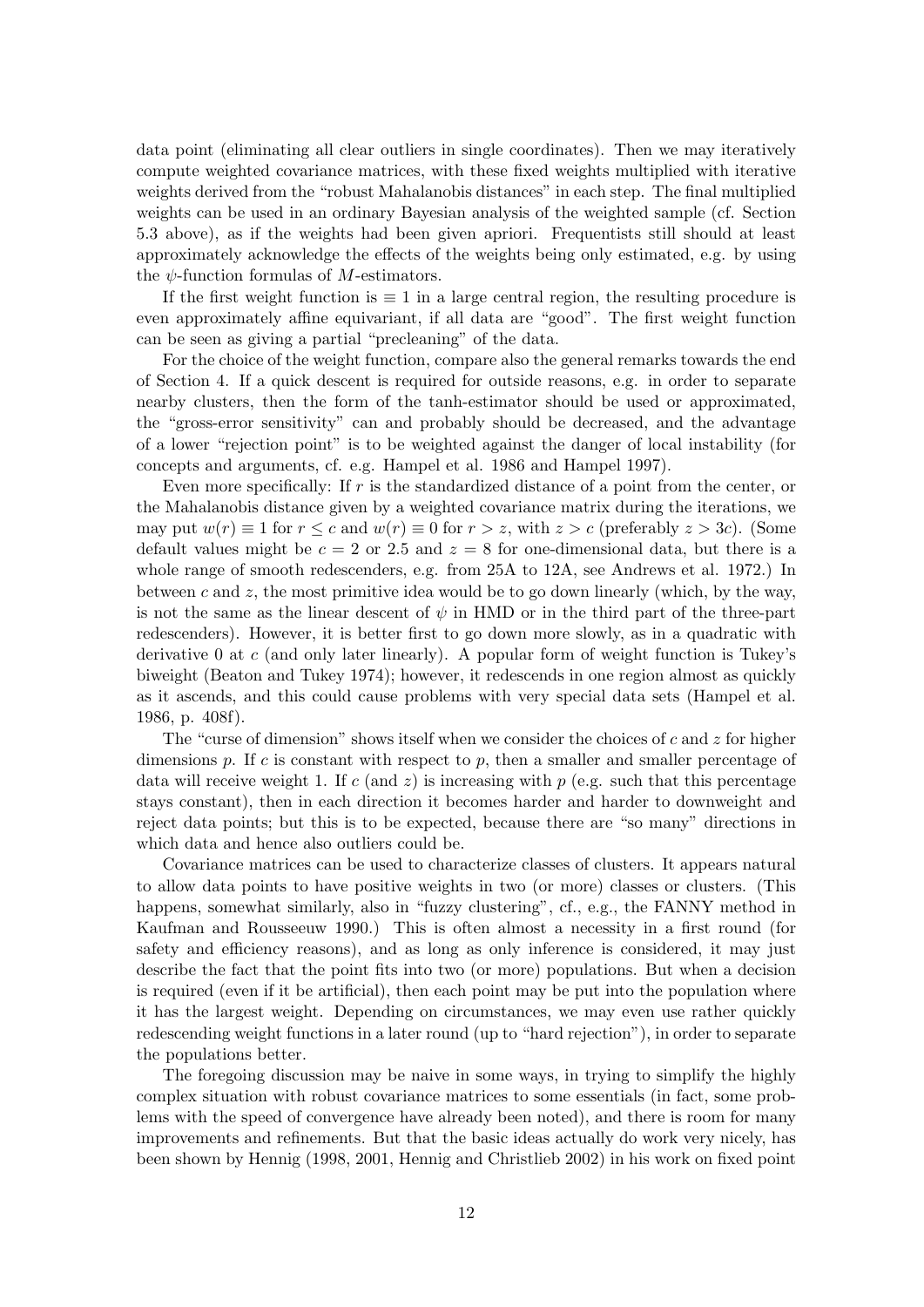data point (eliminating all clear outliers in single coordinates). Then we may iteratively compute weighted covariance matrices, with these fixed weights multiplied with iterative weights derived from the "robust Mahalanobis distances" in each step. The final multiplied weights can be used in an ordinary Bayesian analysis of the weighted sample (cf. Section 5.3 above), as if the weights had been given apriori. Frequentists still should at least approximately acknowledge the effects of the weights being only estimated, e.g. by using the  $\psi$ -function formulas of M-estimators.

If the first weight function is  $\equiv 1$  in a large central region, the resulting procedure is even approximately affine equivariant, if all data are "good". The first weight function can be seen as giving a partial "precleaning" of the data.

For the choice of the weight function, compare also the general remarks towards the end of Section 4. If a quick descent is required for outside reasons, e.g. in order to separate nearby clusters, then the form of the tanh-estimator should be used or approximated, the "gross-error sensitivity" can and probably should be decreased, and the advantage of a lower "rejection point" is to be weighted against the danger of local instability (for concepts and arguments, cf. e.g. Hampel et al. 1986 and Hampel 1997).

Even more specifically: If r is the standardized distance of a point from the center, or the Mahalanobis distance given by a weighted covariance matrix during the iterations, we may put  $w(r) \equiv 1$  for  $r \leq c$  and  $w(r) \equiv 0$  for  $r > z$ , with  $z > c$  (preferably  $z > 3c$ ). (Some default values might be  $c = 2$  or 2.5 and  $z = 8$  for one-dimensional data, but there is a whole range of smooth redescenders, e.g. from 25A to 12A, see Andrews et al. 1972.) In between c and z, the most primitive idea would be to go down linearly (which, by the way, is not the same as the linear descent of  $\psi$  in HMD or in the third part of the three-part redescenders). However, it is better first to go down more slowly, as in a quadratic with derivative 0 at  $c$  (and only later linearly). A popular form of weight function is Tukey's biweight (Beaton and Tukey 1974); however, it redescends in one region almost as quickly as it ascends, and this could cause problems with very special data sets (Hampel et al. 1986, p. 408f).

The "curse of dimension" shows itself when we consider the choices of c and z for higher dimensions p. If c is constant with respect to p, then a smaller and smaller percentage of data will receive weight 1. If c (and z) is increasing with  $p$  (e.g. such that this percentage stays constant), then in each direction it becomes harder and harder to downweight and reject data points; but this is to be expected, because there are "so many" directions in which data and hence also outliers could be.

Covariance matrices can be used to characterize classes of clusters. It appears natural to allow data points to have positive weights in two (or more) classes or clusters. (This happens, somewhat similarly, also in "fuzzy clustering", cf., e.g., the FANNY method in Kaufman and Rousseeuw 1990.) This is often almost a necessity in a first round (for safety and efficiency reasons), and as long as only inference is considered, it may just describe the fact that the point fits into two (or more) populations. But when a decision is required (even if it be artificial), then each point may be put into the population where it has the largest weight. Depending on circumstances, we may even use rather quickly redescending weight functions in a later round (up to "hard rejection"), in order to separate the populations better.

The foregoing discussion may be naive in some ways, in trying to simplify the highly complex situation with robust covariance matrices to some essentials (in fact, some problems with the speed of convergence have already been noted), and there is room for many improvements and refinements. But that the basic ideas actually do work very nicely, has been shown by Hennig (1998, 2001, Hennig and Christlieb 2002) in his work on fixed point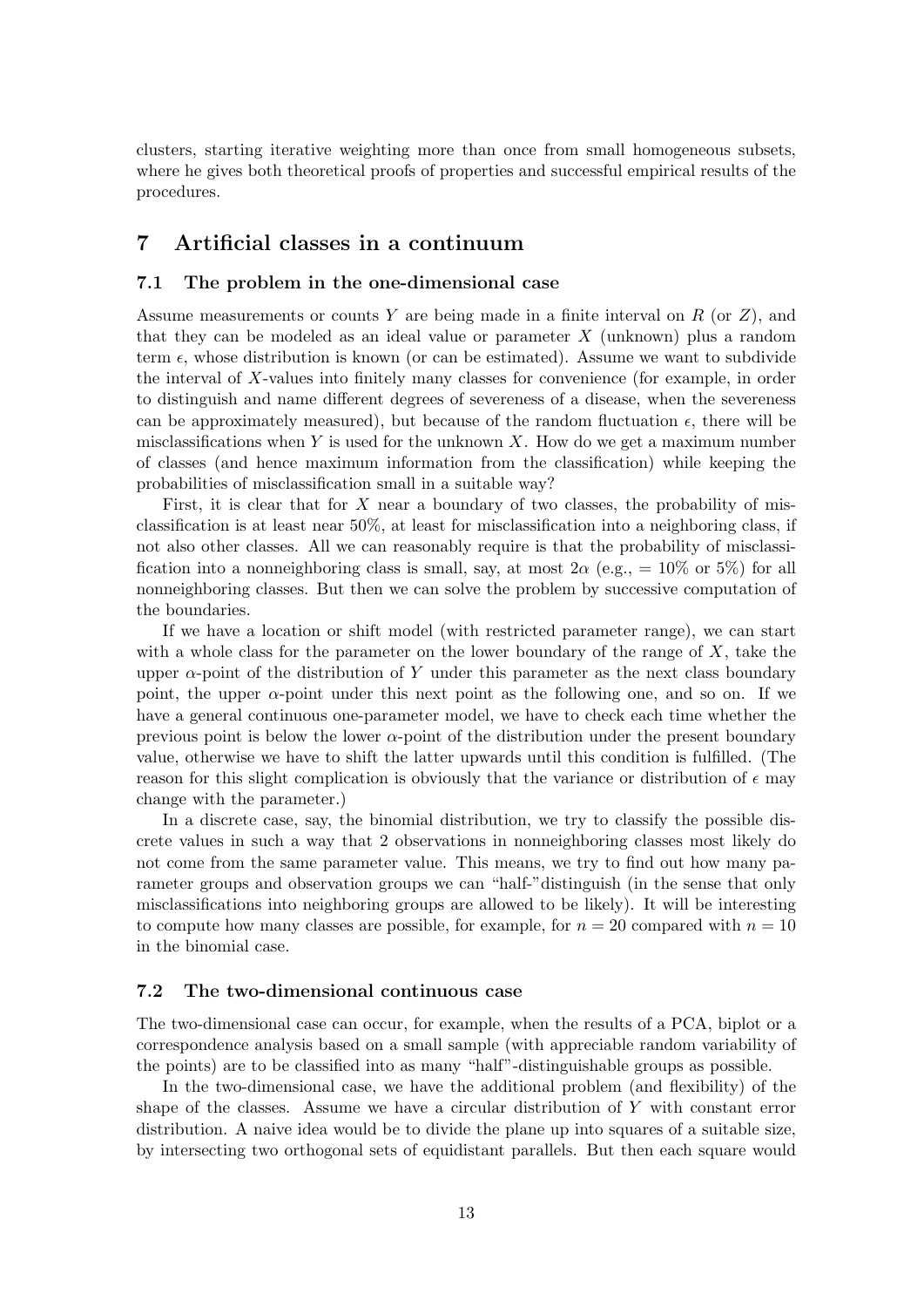clusters, starting iterative weighting more than once from small homogeneous subsets, where he gives both theoretical proofs of properties and successful empirical results of the procedures.

# 7 Artificial classes in a continuum

#### 7.1 The problem in the one-dimensional case

Assume measurements or counts Y are being made in a finite interval on R (or  $Z$ ), and that they can be modeled as an ideal value or parameter X (unknown) plus a random term  $\epsilon$ , whose distribution is known (or can be estimated). Assume we want to subdivide the interval of X-values into finitely many classes for convenience (for example, in order to distinguish and name different degrees of severeness of a disease, when the severeness can be approximately measured), but because of the random fluctuation  $\epsilon$ , there will be misclassifications when  $Y$  is used for the unknown  $X$ . How do we get a maximum number of classes (and hence maximum information from the classification) while keeping the probabilities of misclassification small in a suitable way?

First, it is clear that for  $X$  near a boundary of two classes, the probability of misclassification is at least near 50%, at least for misclassification into a neighboring class, if not also other classes. All we can reasonably require is that the probability of misclassification into a nonneighboring class is small, say, at most  $2\alpha$  (e.g., = 10% or 5%) for all nonneighboring classes. But then we can solve the problem by successive computation of the boundaries.

If we have a location or shift model (with restricted parameter range), we can start with a whole class for the parameter on the lower boundary of the range of  $X$ , take the upper  $\alpha$ -point of the distribution of Y under this parameter as the next class boundary point, the upper  $\alpha$ -point under this next point as the following one, and so on. If we have a general continuous one-parameter model, we have to check each time whether the previous point is below the lower  $\alpha$ -point of the distribution under the present boundary value, otherwise we have to shift the latter upwards until this condition is fulfilled. (The reason for this slight complication is obviously that the variance or distribution of  $\epsilon$  may change with the parameter.)

In a discrete case, say, the binomial distribution, we try to classify the possible discrete values in such a way that 2 observations in nonneighboring classes most likely do not come from the same parameter value. This means, we try to find out how many parameter groups and observation groups we can "half-"distinguish (in the sense that only misclassifications into neighboring groups are allowed to be likely). It will be interesting to compute how many classes are possible, for example, for  $n = 20$  compared with  $n = 10$ in the binomial case.

#### 7.2 The two-dimensional continuous case

The two-dimensional case can occur, for example, when the results of a PCA, biplot or a correspondence analysis based on a small sample (with appreciable random variability of the points) are to be classified into as many "half"-distinguishable groups as possible.

In the two-dimensional case, we have the additional problem (and flexibility) of the shape of the classes. Assume we have a circular distribution of Y with constant error distribution. A naive idea would be to divide the plane up into squares of a suitable size, by intersecting two orthogonal sets of equidistant parallels. But then each square would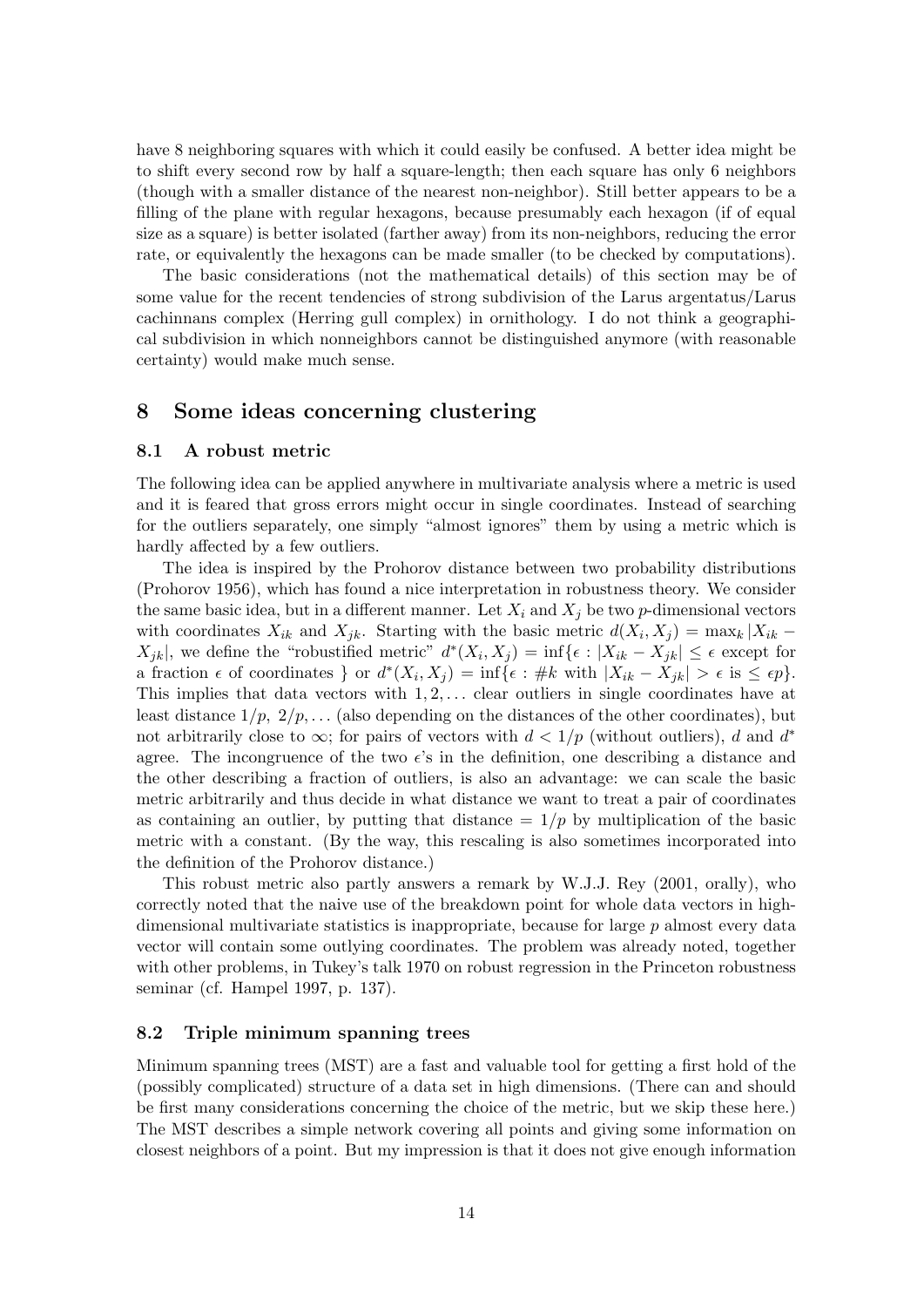have 8 neighboring squares with which it could easily be confused. A better idea might be to shift every second row by half a square-length; then each square has only 6 neighbors (though with a smaller distance of the nearest non-neighbor). Still better appears to be a filling of the plane with regular hexagons, because presumably each hexagon (if of equal size as a square) is better isolated (farther away) from its non-neighbors, reducing the error rate, or equivalently the hexagons can be made smaller (to be checked by computations).

The basic considerations (not the mathematical details) of this section may be of some value for the recent tendencies of strong subdivision of the Larus argentatus/Larus cachinnans complex (Herring gull complex) in ornithology. I do not think a geographical subdivision in which nonneighbors cannot be distinguished anymore (with reasonable certainty) would make much sense.

# 8 Some ideas concerning clustering

#### 8.1 A robust metric

The following idea can be applied anywhere in multivariate analysis where a metric is used and it is feared that gross errors might occur in single coordinates. Instead of searching for the outliers separately, one simply "almost ignores" them by using a metric which is hardly affected by a few outliers.

The idea is inspired by the Prohorov distance between two probability distributions (Prohorov 1956), which has found a nice interpretation in robustness theory. We consider the same basic idea, but in a different manner. Let  $X_i$  and  $X_j$  be two p-dimensional vectors with coordinates  $X_{ik}$  and  $X_{jk}$ . Starting with the basic metric  $d(X_i, X_j) = \max_k |X_{ik} X_{jk}$ , we define the "robustified metric"  $d^*(X_i, X_j) = \inf\{\epsilon : |X_{ik} - X_{jk}| \leq \epsilon \text{ except for }$ a fraction  $\epsilon$  of coordinates } or  $d^*(X_i, X_j) = \inf{\epsilon : \#k \text{ with } |X_{ik} - X_{jk}| > \epsilon \text{ is } \leq \epsilon p}.$ This implies that data vectors with  $1, 2, \ldots$  clear outliers in single coordinates have at least distance  $1/p$ ,  $2/p$ ,... (also depending on the distances of the other coordinates), but not arbitrarily close to  $\infty$ ; for pairs of vectors with  $d < 1/p$  (without outliers), d and  $d^*$ agree. The incongruence of the two  $\epsilon$ 's in the definition, one describing a distance and the other describing a fraction of outliers, is also an advantage: we can scale the basic metric arbitrarily and thus decide in what distance we want to treat a pair of coordinates as containing an outlier, by putting that distance  $= 1/p$  by multiplication of the basic metric with a constant. (By the way, this rescaling is also sometimes incorporated into the definition of the Prohorov distance.)

This robust metric also partly answers a remark by W.J.J. Rey (2001, orally), who correctly noted that the naive use of the breakdown point for whole data vectors in highdimensional multivariate statistics is inappropriate, because for large p almost every data vector will contain some outlying coordinates. The problem was already noted, together with other problems, in Tukey's talk 1970 on robust regression in the Princeton robustness seminar (cf. Hampel 1997, p. 137).

#### 8.2 Triple minimum spanning trees

Minimum spanning trees (MST) are a fast and valuable tool for getting a first hold of the (possibly complicated) structure of a data set in high dimensions. (There can and should be first many considerations concerning the choice of the metric, but we skip these here.) The MST describes a simple network covering all points and giving some information on closest neighbors of a point. But my impression is that it does not give enough information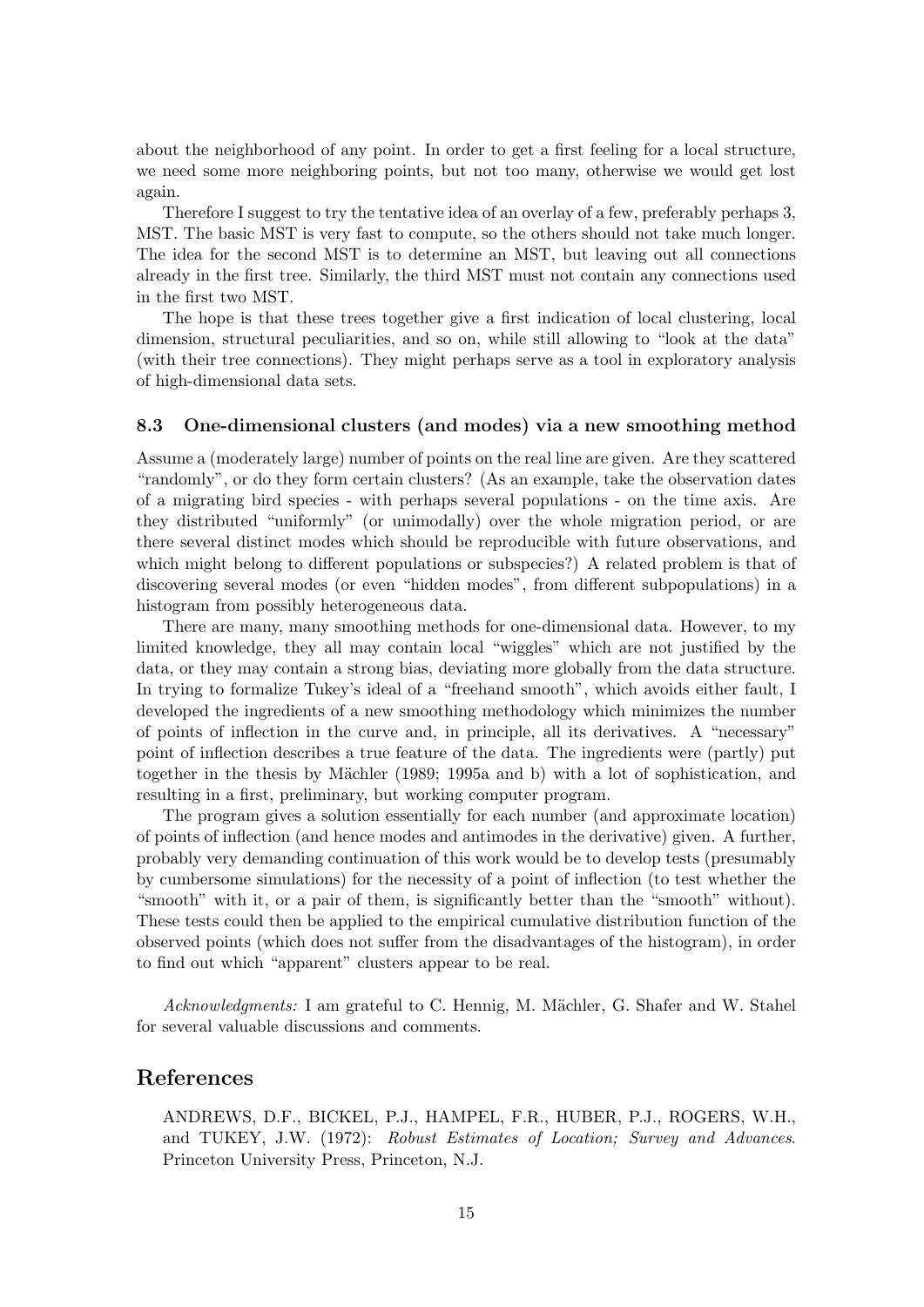about the neighborhood of any point. In order to get a first feeling for a local structure, we need some more neighboring points, but not too many, otherwise we would get lost again.

Therefore I suggest to try the tentative idea of an overlay of a few, preferably perhaps 3, MST. The basic MST is very fast to compute, so the others should not take much longer. The idea for the second MST is to determine an MST, but leaving out all connections already in the first tree. Similarly, the third MST must not contain any connections used in the first two MST.

The hope is that these trees together give a first indication of local clustering, local dimension, structural peculiarities, and so on, while still allowing to "look at the data" (with their tree connections). They might perhaps serve as a tool in exploratory analysis of high-dimensional data sets.

#### 8.3 One-dimensional clusters (and modes) via a new smoothing method

Assume a (moderately large) number of points on the real line are given. Are they scattered "randomly", or do they form certain clusters? (As an example, take the observation dates of a migrating bird species - with perhaps several populations - on the time axis. Are they distributed "uniformly" (or unimodally) over the whole migration period, or are there several distinct modes which should be reproducible with future observations, and which might belong to different populations or subspecies?) A related problem is that of discovering several modes (or even "hidden modes", from different subpopulations) in a histogram from possibly heterogeneous data.

There are many, many smoothing methods for one-dimensional data. However, to my limited knowledge, they all may contain local "wiggles" which are not justified by the data, or they may contain a strong bias, deviating more globally from the data structure. In trying to formalize Tukey's ideal of a "freehand smooth", which avoids either fault, I developed the ingredients of a new smoothing methodology which minimizes the number of points of inflection in the curve and, in principle, all its derivatives. A "necessary" point of inflection describes a true feature of the data. The ingredients were (partly) put together in the thesis by Mächler (1989; 1995a and b) with a lot of sophistication, and resulting in a first, preliminary, but working computer program.

The program gives a solution essentially for each number (and approximate location) of points of inflection (and hence modes and antimodes in the derivative) given. A further, probably very demanding continuation of this work would be to develop tests (presumably by cumbersome simulations) for the necessity of a point of inflection (to test whether the "smooth" with it, or a pair of them, is significantly better than the "smooth" without). These tests could then be applied to the empirical cumulative distribution function of the observed points (which does not suffer from the disadvantages of the histogram), in order to find out which "apparent" clusters appear to be real.

Acknowledgments: I am grateful to C. Hennig, M. Mächler, G. Shafer and W. Stahel for several valuable discussions and comments.

# References

ANDREWS, D.F., BICKEL, P.J., HAMPEL, F.R., HUBER, P.J., ROGERS, W.H., and TUKEY, J.W. (1972): Robust Estimates of Location; Survey and Advances. Princeton University Press, Princeton, N.J.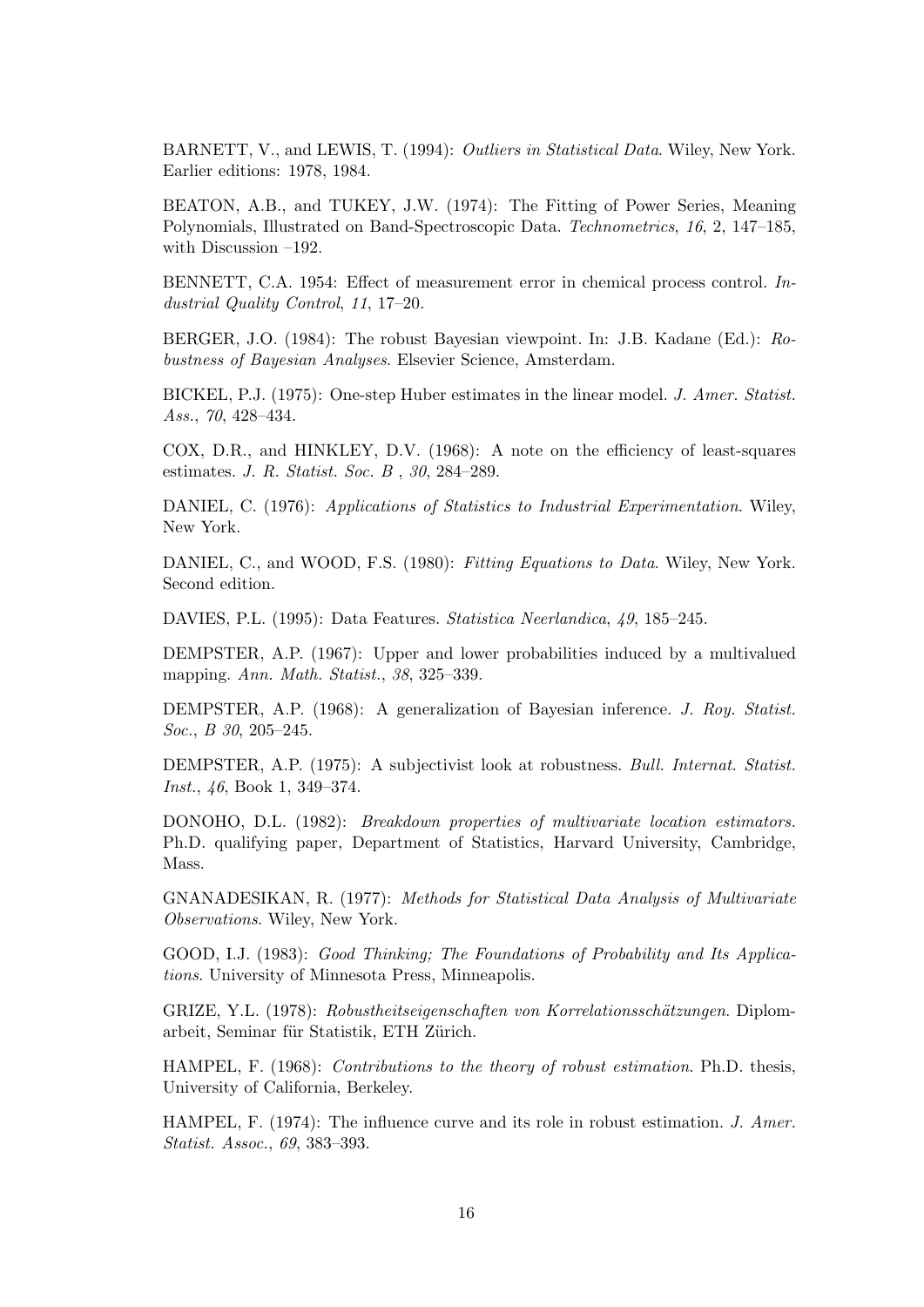BARNETT, V., and LEWIS, T. (1994): Outliers in Statistical Data. Wiley, New York. Earlier editions: 1978, 1984.

BEATON, A.B., and TUKEY, J.W. (1974): The Fitting of Power Series, Meaning Polynomials, Illustrated on Band-Spectroscopic Data. Technometrics, 16, 2, 147–185, with Discussion –192.

BENNETT, C.A. 1954: Effect of measurement error in chemical process control. Industrial Quality Control, 11, 17–20.

BERGER, J.O. (1984): The robust Bayesian viewpoint. In: J.B. Kadane (Ed.): Robustness of Bayesian Analyses. Elsevier Science, Amsterdam.

BICKEL, P.J. (1975): One-step Huber estimates in the linear model. J. Amer. Statist. Ass., 70, 428–434.

COX, D.R., and HINKLEY, D.V. (1968): A note on the efficiency of least-squares estimates. J. R. Statist. Soc. B , 30, 284–289.

DANIEL, C. (1976): Applications of Statistics to Industrial Experimentation. Wiley, New York.

DANIEL, C., and WOOD, F.S. (1980): Fitting Equations to Data. Wiley, New York. Second edition.

DAVIES, P.L. (1995): Data Features. Statistica Neerlandica, 49, 185–245.

DEMPSTER, A.P. (1967): Upper and lower probabilities induced by a multivalued mapping. Ann. Math. Statist., 38, 325–339.

DEMPSTER, A.P. (1968): A generalization of Bayesian inference. J. Roy. Statist. Soc., B 30, 205-245.

DEMPSTER, A.P. (1975): A subjectivist look at robustness. Bull. Internat. Statist. Inst., 46, Book 1, 349–374.

DONOHO, D.L. (1982): Breakdown properties of multivariate location estimators. Ph.D. qualifying paper, Department of Statistics, Harvard University, Cambridge, Mass.

GNANADESIKAN, R. (1977): Methods for Statistical Data Analysis of Multivariate Observations. Wiley, New York.

GOOD, I.J. (1983): Good Thinking; The Foundations of Probability and Its Applications. University of Minnesota Press, Minneapolis.

GRIZE, Y.L. (1978): Robustheitseigenschaften von Korrelationsschätzungen. Diplomarbeit, Seminar für Statistik, ETH Zürich.

HAMPEL, F. (1968): Contributions to the theory of robust estimation. Ph.D. thesis, University of California, Berkeley.

HAMPEL, F. (1974): The influence curve and its role in robust estimation. J. Amer. Statist. Assoc., 69, 383–393.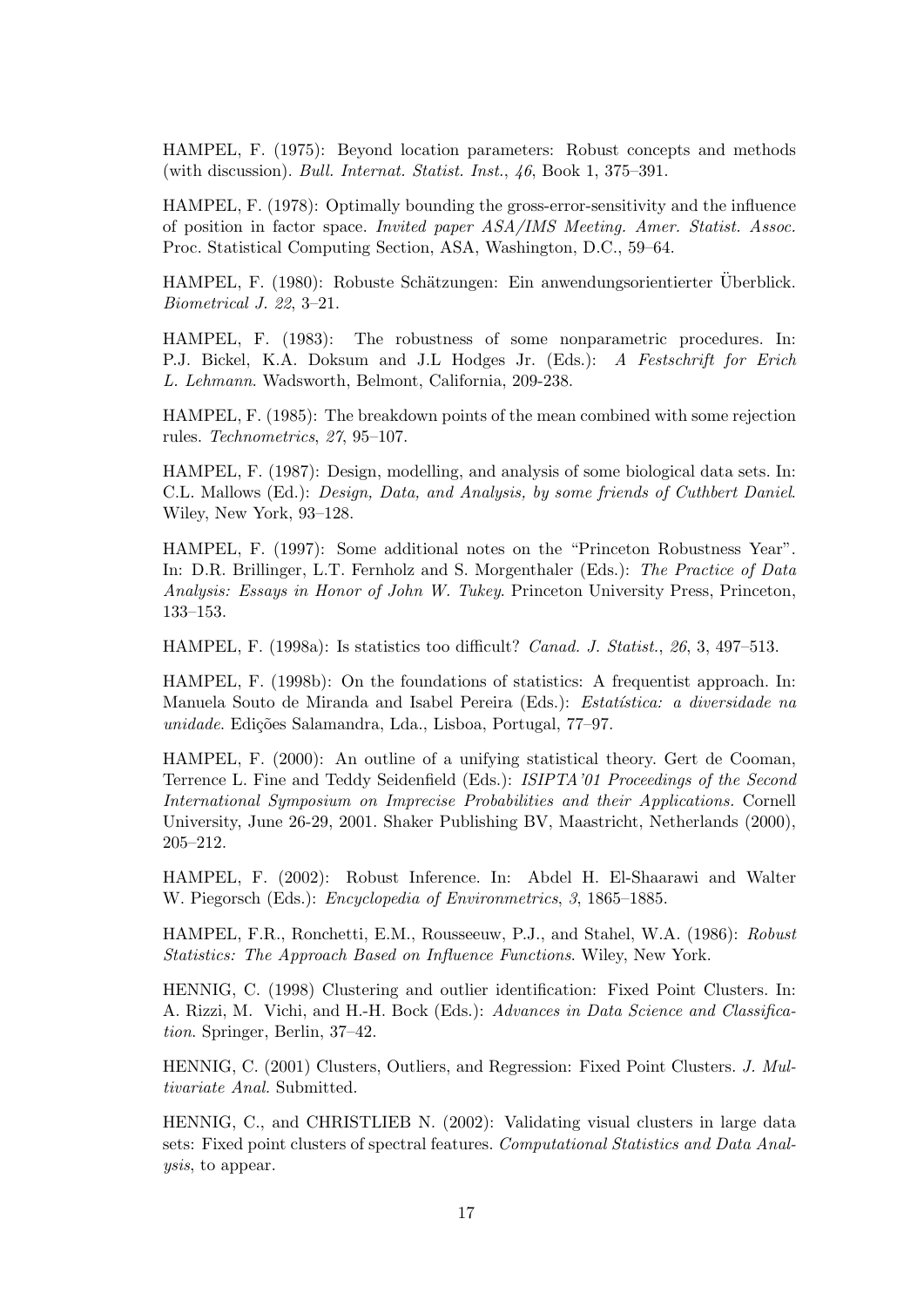HAMPEL, F. (1975): Beyond location parameters: Robust concepts and methods (with discussion). Bull. Internat. Statist. Inst., 46, Book 1, 375–391.

HAMPEL, F. (1978): Optimally bounding the gross-error-sensitivity and the influence of position in factor space. Invited paper ASA/IMS Meeting. Amer. Statist. Assoc. Proc. Statistical Computing Section, ASA, Washington, D.C., 59–64.

HAMPEL, F. (1980): Robuste Schätzungen: Ein anwendungsorientierter Überblick. Biometrical J. 22, 3–21.

HAMPEL, F. (1983): The robustness of some nonparametric procedures. In: P.J. Bickel, K.A. Doksum and J.L Hodges Jr. (Eds.): A Festschrift for Erich L. Lehmann. Wadsworth, Belmont, California, 209-238.

HAMPEL, F. (1985): The breakdown points of the mean combined with some rejection rules. Technometrics, 27, 95–107.

HAMPEL, F. (1987): Design, modelling, and analysis of some biological data sets. In: C.L. Mallows (Ed.): Design, Data, and Analysis, by some friends of Cuthbert Daniel. Wiley, New York, 93–128.

HAMPEL, F. (1997): Some additional notes on the "Princeton Robustness Year". In: D.R. Brillinger, L.T. Fernholz and S. Morgenthaler (Eds.): The Practice of Data Analysis: Essays in Honor of John W. Tukey. Princeton University Press, Princeton, 133–153.

HAMPEL, F. (1998a): Is statistics too difficult? Canad. J. Statist., 26, 3, 497–513.

HAMPEL, F. (1998b): On the foundations of statistics: A frequentist approach. In: Manuela Souto de Miranda and Isabel Pereira (Eds.): Estatística: a diversidade na unidade. Edições Salamandra, Lda., Lisboa, Portugal, 77–97.

HAMPEL, F. (2000): An outline of a unifying statistical theory. Gert de Cooman, Terrence L. Fine and Teddy Seidenfield (Eds.): ISIPTA'01 Proceedings of the Second International Symposium on Imprecise Probabilities and their Applications. Cornell University, June 26-29, 2001. Shaker Publishing BV, Maastricht, Netherlands (2000), 205–212.

HAMPEL, F. (2002): Robust Inference. In: Abdel H. El-Shaarawi and Walter W. Piegorsch (Eds.): Encyclopedia of Environmetrics, 3, 1865–1885.

HAMPEL, F.R., Ronchetti, E.M., Rousseeuw, P.J., and Stahel, W.A. (1986): Robust Statistics: The Approach Based on Influence Functions. Wiley, New York.

HENNIG, C. (1998) Clustering and outlier identification: Fixed Point Clusters. In: A. Rizzi, M. Vichi, and H.-H. Bock (Eds.): Advances in Data Science and Classification. Springer, Berlin, 37–42.

HENNIG, C. (2001) Clusters, Outliers, and Regression: Fixed Point Clusters. J. Multivariate Anal. Submitted.

HENNIG, C., and CHRISTLIEB N. (2002): Validating visual clusters in large data sets: Fixed point clusters of spectral features. Computational Statistics and Data Analysis, to appear.